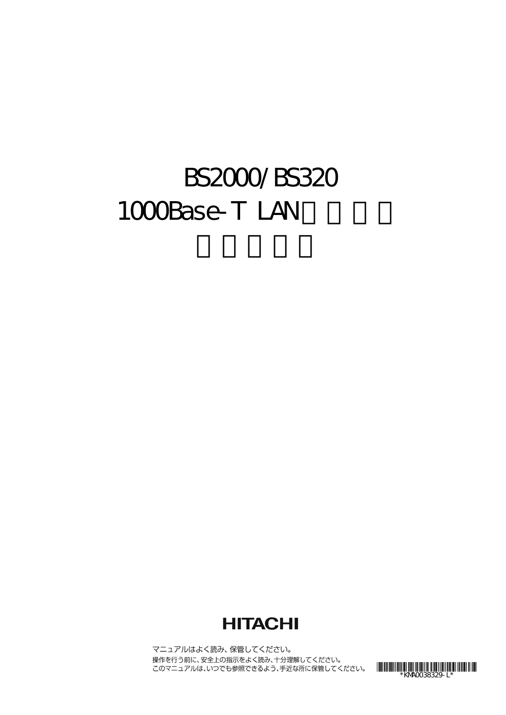# BS2000/BS320 1000Base-T LAN



マニュアルはよく読み、保管してください。 操作を行う前に、安全上の指示をよく読み、十分理解してください。 このマニュアルは、いつでも参照できるよう、手近な所に保管してください。

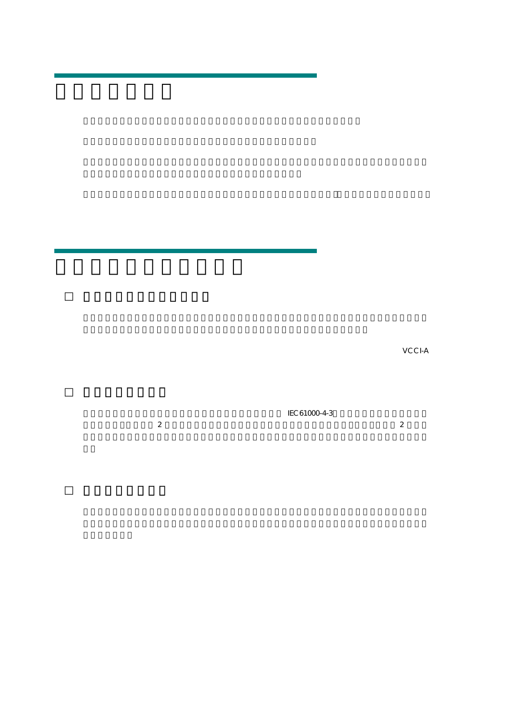VCCI-A

本製品の外来電磁波に対する耐力は、国際電気標準会議規格 IEC61000-4-3「放射無線周波電磁界イミュ

 $\sim$  2  $\sim$  2  $\sim$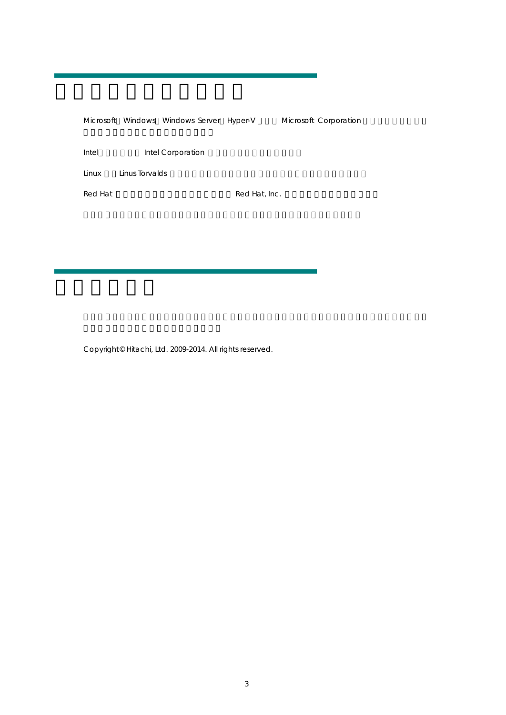|         |                | Microsoft Windows Windows Server Hyper-V |               | Microsoft Corporation |
|---------|----------------|------------------------------------------|---------------|-----------------------|
|         |                |                                          |               |                       |
| Intel   |                | Intel Corporation                        |               |                       |
| Linux   | Linus Torvalds |                                          |               |                       |
| Red Hat |                |                                          | Red Hat, Inc. |                       |

Copyright© Hitachi, Ltd. 2009-2014. All rights reserved.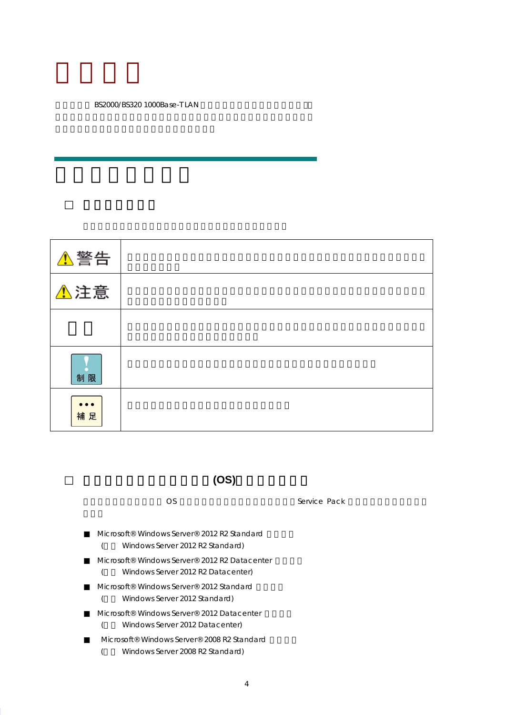BS2000/BS320 1000Base-T LAN



オペレーティングシステム**(OS)**の略称について

OS Service Pack

Microsoft® Windows Server® 2012 R2 Standard

( Windows Server 2012 R2 Standard)

Microsoft® Windows Server® 2012 R2 Datacenter

( Windows Server 2012 R2 Datacenter)

Microsoft® Windows Server® 2012 Standard

( Windows Server 2012 Standard)

Microsoft® Windows Server® 2012 Datacenter

( Windows Server 2012 Datacenter)

Microsoft® Windows Server® 2008 R2 Standard

( Windows Server 2008 R2 Standard)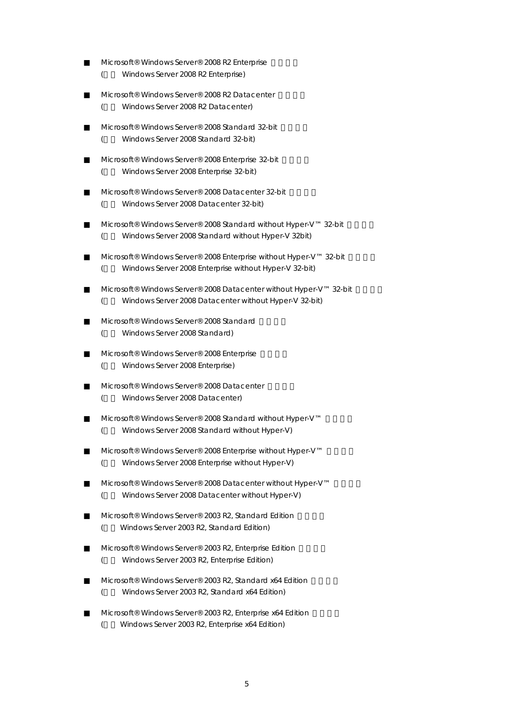Microsoft® Windows Server® 2008 R2 Enterprise

( Windows Server 2008 R2 Enterprise)

Microsoft® Windows Server® 2008 R2 Datacenter

( Windows Server 2008 R2 Datacenter)

Microsoft® Windows Server® 2008 Standard 32-bit

( Windows Server 2008 Standard 32-bit)

Microsoft® Windows Server® 2008 Enterprise 32-bit

( Windows Server 2008 Enterprise 32-bit)

Microsoft® Windows Server® 2008 Datacenter 32-bit ( Windows Server 2008 Datacenter 32-bit)

Microsoft® Windows Server® 2008 Standard without Hyper-V™ 32-bit ( Windows Server 2008 Standard without Hyper-V 32bit)

Microsoft® Windows Server® 2008 Enterprise without Hyper-V™ 32-bit ( Windows Server 2008 Enterprise without Hyper-V 32-bit)

Microsoft® Windows Server® 2008 Datacenter without Hyper-V™ 32-bit ( Windows Server 2008 Datacenter without Hyper-V 32-bit)

Microsoft® Windows Server® 2008 Standard

Windows Server 2008 Standard)

Microsoft® Windows Server® 2008 Enterprise

( Windows Server 2008 Enterprise)

Microsoft® Windows Server® 2008 Datacenter

( Windows Server 2008 Datacenter)

Microsoft® Windows Server® 2008 Standard without Hyper-V™ ( Windows Server 2008 Standard without Hyper-V)

Microsoft® Windows Server® 2008 Enterprise without Hyper-V™ ( Windows Server 2008 Enterprise without Hyper-V)

Microsoft® Windows Server® 2008 Datacenter without Hyper-V™ ( Windows Server 2008 Datacenter without Hyper-V)

Microsoft® Windows Server® 2003 R2, Standard Edition

( Windows Server 2003 R2, Standard Edition)

Microsoft® Windows Server® 2003 R2, Enterprise Edition

( Windows Server 2003 R2, Enterprise Edition)

Microsoft® Windows Server® 2003 R2, Standard x64 Edition ( Windows Server 2003 R2, Standard x64 Edition)

Microsoft® Windows Server® 2003 R2, Enterprise x64 Edition ( Windows Server 2003 R2, Enterprise x64 Edition)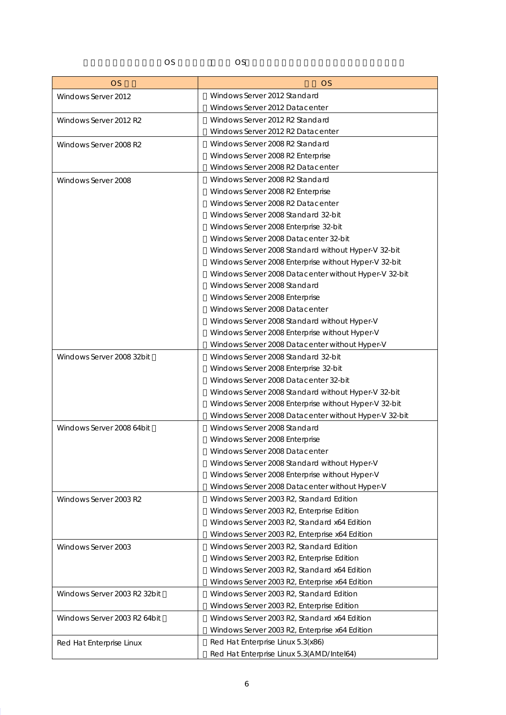$\overline{OS}$  OS

| <b>OS</b>                    | OS                                                    |
|------------------------------|-------------------------------------------------------|
| Windows Server 2012          | Windows Server 2012 Standard                          |
|                              | Windows Server 2012 Datacenter                        |
| Windows Server 2012 R2       | Windows Server 2012 R2 Standard                       |
|                              | Windows Server 2012 R2 Datacenter                     |
| Windows Server 2008 R2       | Windows Server 2008 R2 Standard                       |
|                              | Windows Server 2008 R2 Enterprise                     |
|                              | Windows Server 2008 R2 Datacenter                     |
| Windows Server 2008          | Windows Server 2008 R2 Standard                       |
|                              | Windows Server 2008 R2 Enterprise                     |
|                              | Windows Server 2008 R2 Datacenter                     |
|                              | Windows Server 2008 Standard 32-bit                   |
|                              | Windows Server 2008 Enterprise 32-bit                 |
|                              | Windows Server 2008 Datacenter 32-bit                 |
|                              | Windows Server 2008 Standard without Hyper-V 32-bit   |
|                              | Windows Server 2008 Enterprise without Hyper-V 32-bit |
|                              | Windows Server 2008 Datacenter without Hyper-V 32-bit |
|                              | Windows Server 2008 Standard                          |
|                              | Windows Server 2008 Enterprise                        |
|                              | Windows Server 2008 Datacenter                        |
|                              | Windows Server 2008 Standard without Hyper-V          |
|                              | Windows Server 2008 Enterprise without Hyper-V        |
|                              | Windows Server 2008 Datacenter without Hyper-V        |
| Windows Server 2008 32bit    | Windows Server 2008 Standard 32-bit                   |
|                              | Windows Server 2008 Enterprise 32-bit                 |
|                              | Windows Server 2008 Datacenter 32-bit                 |
|                              | Windows Server 2008 Standard without Hyper-V 32-bit   |
|                              | Windows Server 2008 Enterprise without Hyper-V 32-bit |
|                              | Windows Server 2008 Datacenter without Hyper-V 32-bit |
| Windows Server 2008 64bit    | Windows Server 2008 Standard                          |
|                              | Windows Server 2008 Enterprise                        |
|                              | Windows Server 2008 Datacenter                        |
|                              | Windows Server 2008 Standard without Hyper-V          |
|                              | Windows Server 2008 Enterprise without Hyper-V        |
|                              | Windows Server 2008 Datacenter without Hyper-V        |
| Windows Server 2003 R2       | Windows Server 2003 R2, Standard Edition              |
|                              | Windows Server 2003 R2, Enterprise Edition            |
|                              | Windows Server 2003 R2, Standard x64 Edition          |
|                              | Windows Server 2003 R2, Enterprise x64 Edition        |
| Windows Server 2003          | Windows Server 2003 R2, Standard Edition              |
|                              | Windows Server 2003 R2, Enterprise Edition            |
|                              | Windows Server 2003 R2, Standard x64 Edition          |
|                              | Windows Server 2003 R2, Enterprise x64 Edition        |
| Windows Server 2003 R2 32bit | Windows Server 2003 R2, Standard Edition              |
|                              | Windows Server 2003 R2, Enterprise Edition            |
| Windows Server 2003 R2 64bit | Windows Server 2003 R2, Standard x64 Edition          |
|                              | Windows Server 2003 R2, Enterprise x64 Edition        |
| Red Hat Enterprise Linux     | Red Hat Enterprise Linux 5.3(x86)                     |
|                              | Red Hat Enterprise Linux 5.3(AMD/Intel64)             |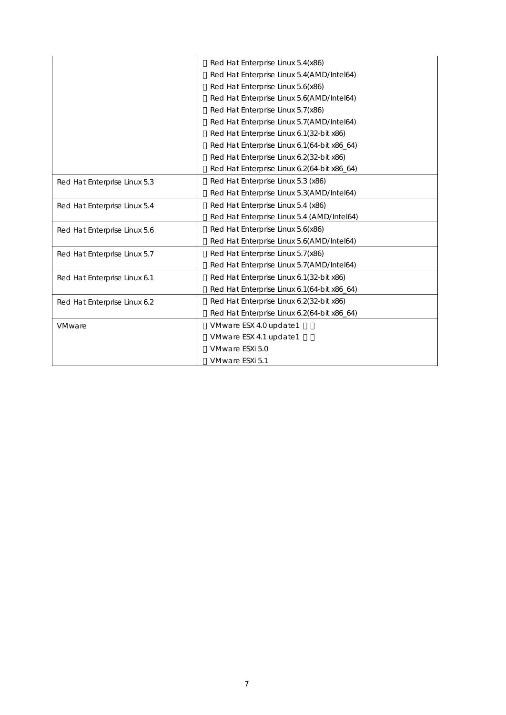|                              | Red Hat Enterprise Linux 5.4(x86)           |
|------------------------------|---------------------------------------------|
|                              | Red Hat Enterprise Linux 5.4(AMD/Intel64)   |
|                              | Red Hat Enterprise Linux 5.6(x86)           |
|                              | Red Hat Enterprise Linux 5.6(AMD/Intel64)   |
|                              | Red Hat Enterprise Linux 5.7(x86)           |
|                              | Red Hat Enterprise Linux 5.7(AMD/Intel64)   |
|                              | Red Hat Enterprise Linux 6.1(32-bit x86)    |
|                              | Red Hat Enterprise Linux 6.1(64-bit x86_64) |
|                              | Red Hat Enterprise Linux 6.2(32-bit x86)    |
|                              | Red Hat Enterprise Linux 6.2(64-bit x86_64) |
| Red Hat Enterprise Linux 5.3 | Red Hat Enterprise Linux 5.3 (x86)          |
|                              | Red Hat Enterprise Linux 5.3(AMD/Intel64)   |
| Red Hat Enterprise Linux 5.4 | Red Hat Enterprise Linux 5.4 (x86)          |
|                              | Red Hat Enterprise Linux 5.4 (AMD/Intel64)  |
| Red Hat Enterprise Linux 5.6 | Red Hat Enterprise Linux 5.6(x86)           |
|                              | Red Hat Enterprise Linux 5.6(AMD/Intel64)   |
| Red Hat Enterprise Linux 5.7 | Red Hat Enterprise Linux 5.7(x86)           |
|                              | Red Hat Enterprise Linux 5.7(AMD/Intel64)   |
| Red Hat Enterprise Linux 6.1 | Red Hat Enterprise Linux 6.1(32-bit x86)    |
|                              | Red Hat Enterprise Linux 6.1(64-bit x86_64) |
| Red Hat Enterprise Linux 6.2 | Red Hat Enterprise Linux 6.2(32-bit x86)    |
|                              | Red Hat Enterprise Linux 6.2(64-bit x86_64) |
| <b>VMware</b>                | VMware ESX 4.0 update1                      |
|                              | VMware ESX 4.1 update1                      |
|                              | VMware ESXi 5.0                             |
|                              | VMware ESXi 5.1                             |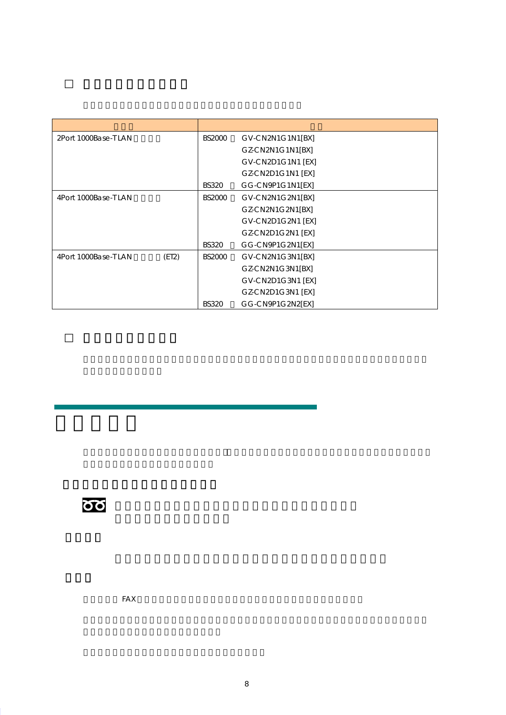| 2Port 1000Base-TLAN           | BS2000        | GV-CN2N1G1N1[BX]  |
|-------------------------------|---------------|-------------------|
|                               |               | GZ-CN2N1G1N1[BX]  |
|                               |               | GV-CN2D1G1N1 [EX] |
|                               |               | GZ-CN2D1G1N1 [EX] |
|                               | <b>BS320</b>  | GG-CN9P1G1N1[EX]  |
| 4Port 1000Base-T LAN          | <b>BS2000</b> | GV-CN2N1G2N1[BX]  |
|                               |               | GZ-CN2N1G2N1[BX]  |
|                               |               | GV-CN2D1G2N1 [EX] |
|                               |               | GZ-CN2D1G2N1 [EX] |
|                               | <b>BS320</b>  | GG-CN9P1G2N1[EX]  |
| 4Port 1000Base-T LAN<br>(ET2) | <b>BS2000</b> | GV-CN2N1G3N1[BX]  |
|                               |               | GZ-CN2N1G3N1[BX]  |
|                               |               | GV-CN2D1G3N1 [EX] |
|                               |               | GZ-CN2D1G3N1 [EX] |
|                               | <b>BS320</b>  | GG-CN9P1G2N2[EX]  |

 $\delta$ 

 $FAX$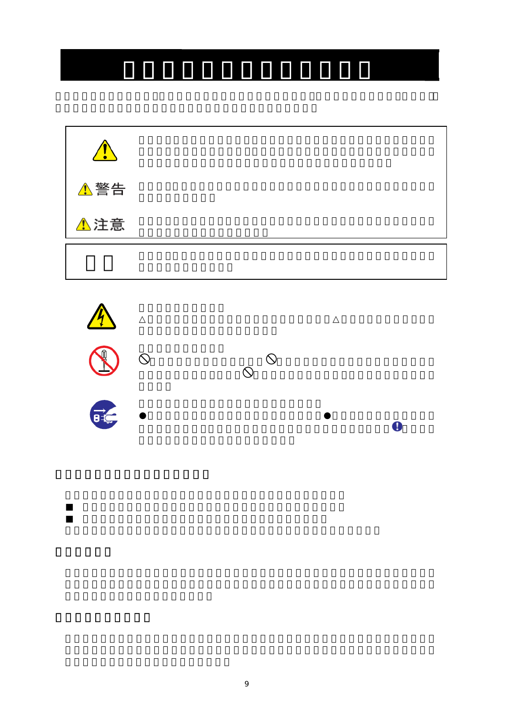

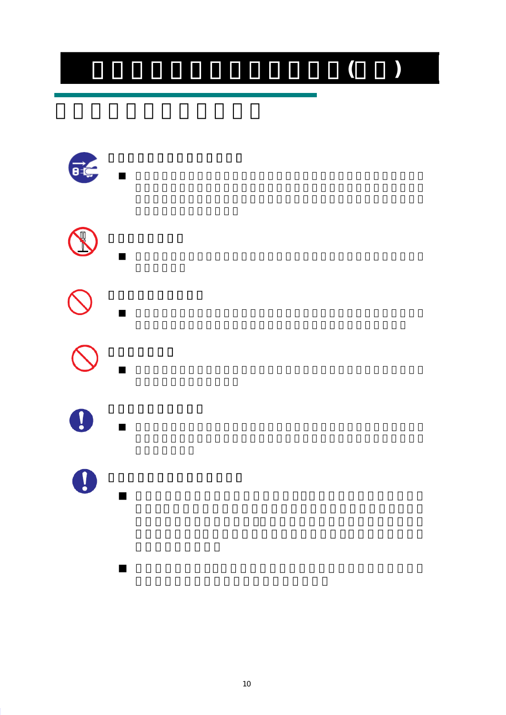



 $\overline{a}$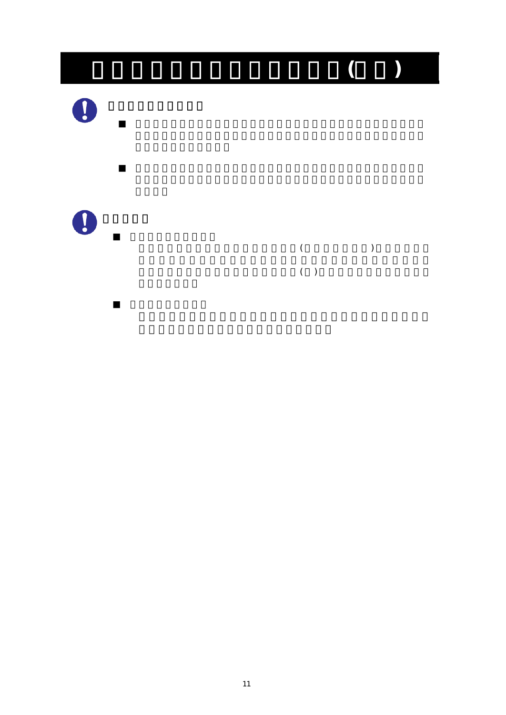







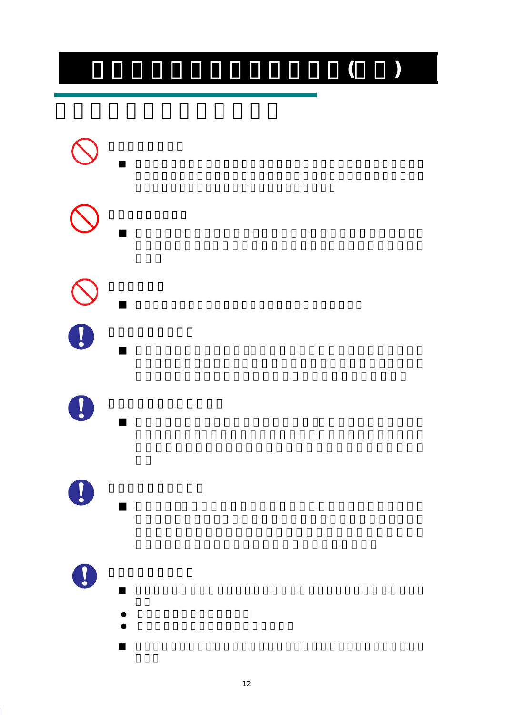





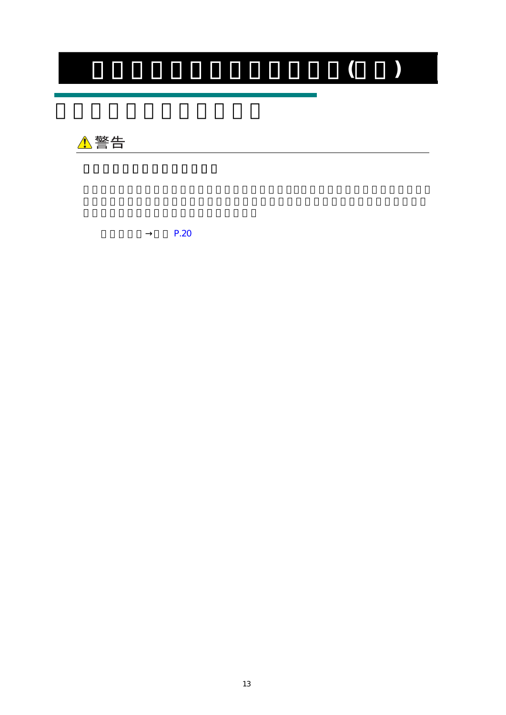



関連ページ→本書 P.20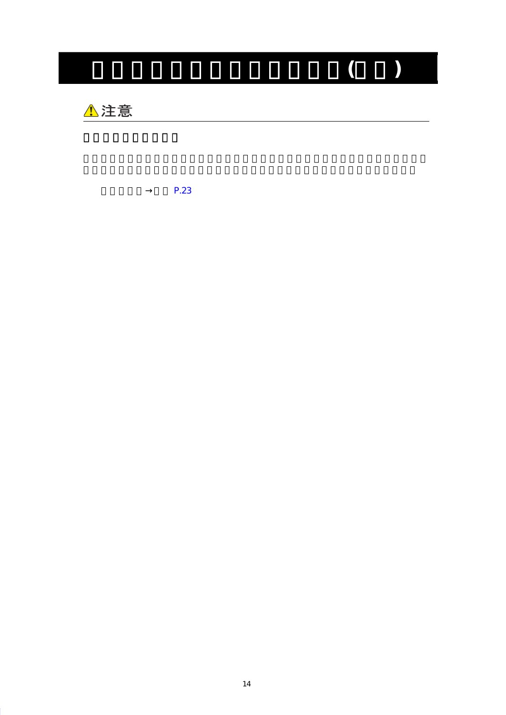



Í

P.23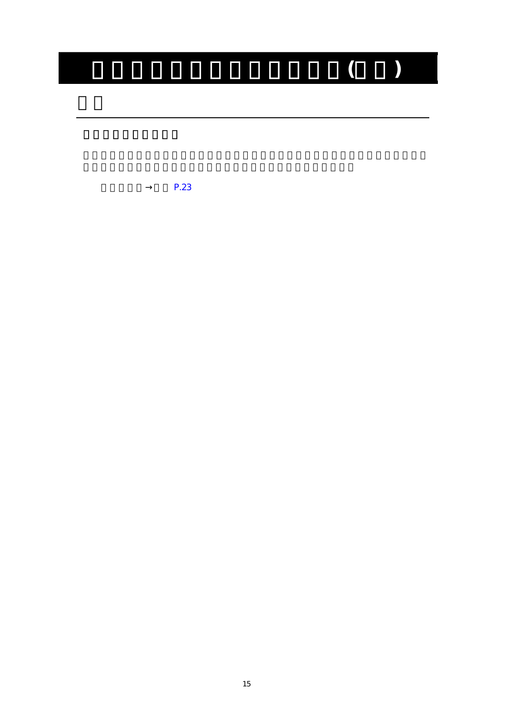# 安全にお使いいただくために**(**続き**)**

P.23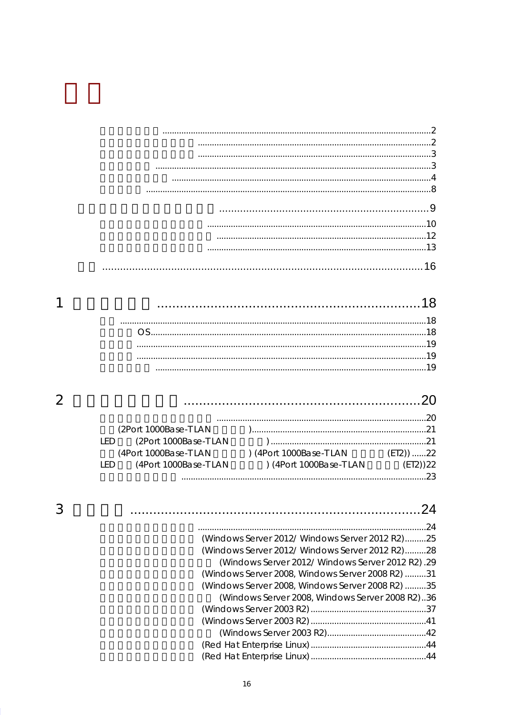| ↑              |
|----------------|
|                |
|                |
|                |
|                |
| $\overline{R}$ |
|                |
|                |
|                |
| 1Λ             |
|                |
| 12             |
| 13             |

 $\sim$   $\sim$ 

 $\mathbf{1}$ 

| (2Port 1000Base-T LAN<br>IED. |                                                     |          |
|-------------------------------|-----------------------------------------------------|----------|
|                               | (4Port 1000Base-TLAN) (4Port 1000Base-TLAN (ET2))22 |          |
| IED.                          | (4Port 1000Base-TLAN) (4Port 1000Base-TLAN          | (ET2))22 |
|                               |                                                     |          |

| 24                                               |
|--------------------------------------------------|
|                                                  |
| (Windows Server 2012/ Windows Server 2012 R2)25  |
| (Windows Server 2012/ Windows Server 2012 R2)28  |
| (Windows Server 2012/ Windows Server 2012 R2).29 |
| (Windows Server 2008, Windows Server 2008 R2) 31 |
| (Windows Server 2008, Windows Server 2008 R2) 35 |
| (Windows Server 2008, Windows Server 2008 R2)36  |
|                                                  |
|                                                  |
|                                                  |
|                                                  |
|                                                  |
|                                                  |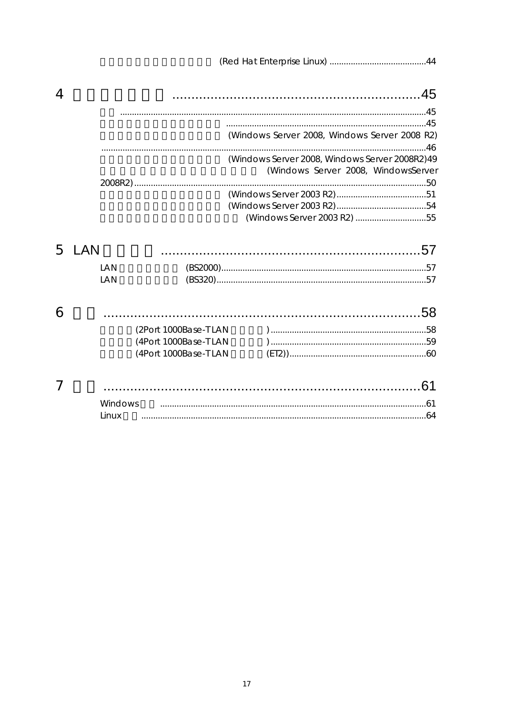|                                                | 45 |
|------------------------------------------------|----|
| (Windows Server 2008, Windows Server 2008 R2)  |    |
|                                                |    |
| (Windows Server 2008, Windows Server 2008R2)49 |    |
| (Windows Server 2008, WindowsServer            |    |
|                                                |    |
|                                                |    |
|                                                |    |
|                                                |    |

| (4Port 1000Base-T LAN |
|-----------------------|
| (4Port 1000Base-T LAN |

| <b>inuv</b> |  |
|-------------|--|
|             |  |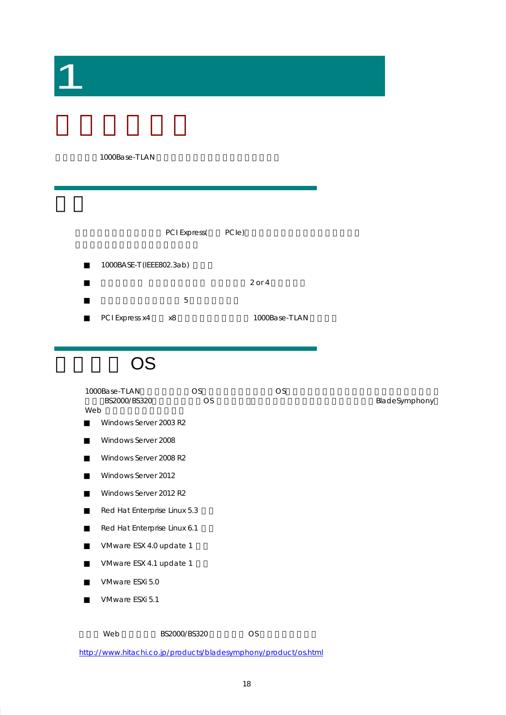1

1000Base-T LAN

PCI Express(PCIe) 1000BASE-T (IEEE802.3ab)

エンハンスド・カテゴリ 5 ケーブルで接続 PCI Express x4 x8 3 2000Base-T LAN

OS

| 1000Base-TLAN<br>Web | BS2000/BS320                 | OS<br><b>OS</b> | O <sub>S</sub> | BladeSymphony |
|----------------------|------------------------------|-----------------|----------------|---------------|
|                      | Windows Server 2003 R2       |                 |                |               |
|                      | Windows Server 2008          |                 |                |               |
|                      | Windows Server 2008 R2       |                 |                |               |
|                      | Windows Server 2012          |                 |                |               |
|                      | Windows Server 2012 R2       |                 |                |               |
|                      | Red Hat Enterprise Linux 5.3 |                 |                |               |
|                      | Red Hat Enterprise Linux 6.1 |                 |                |               |
|                      | VMware ESX 4.0 update 1      |                 |                |               |
|                      | VMware ESX 4.1 update 1      |                 |                |               |
|                      | VMware FSXi 5.0              |                 |                |               |
|                      | VMware ESXi 5.1              |                 |                |               |
|                      |                              |                 |                |               |
| Web                  |                              | BS2000/BS320    | <b>OS</b>      |               |

2 or 4

http://www.hitachi.co.jp/products/bladesymphony/product/os.html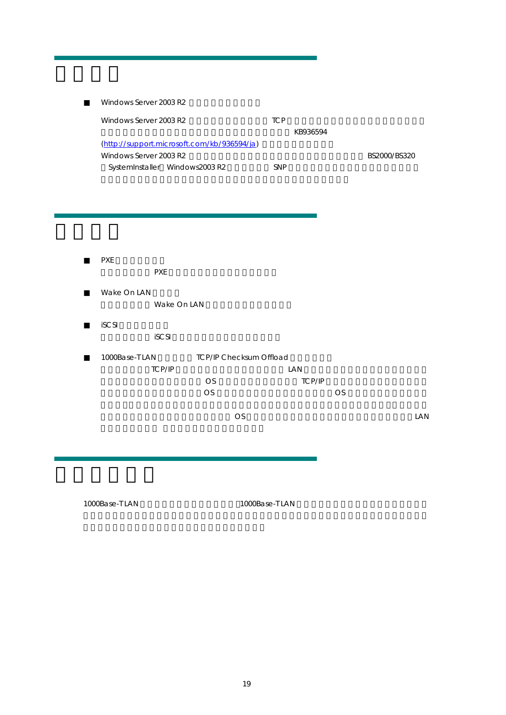| Windows Server 2003 R2 |  |
|------------------------|--|
|                        |  |

Windows Server 2003 R2 TCP

KB936594

(http://support.microsoft.com/kb/936594/ja)

Windows Server 2003 R2 **BS2000/BS320** SystemInstaller Windows2003 R2 SNP

PXE **PXE** PXE Wake On LAN Wake On LAN iSCSI iSCSI 1000Base-T LAN TCP/IP Checksum Offload TCP/IP LAN  $\Box$  $\overline{C}$  OS and  $\overline{C}$  of  $\overline{C}$   $\overline{C}$   $\overline{C}$   $\overline{C}$   $\overline{C}$   $\overline{C}$   $\overline{C}$   $\overline{C}$   $\overline{C}$   $\overline{C}$   $\overline{C}$   $\overline{C}$   $\overline{C}$   $\overline{C}$   $\overline{C}$   $\overline{C}$   $\overline{C}$   $\overline{C}$   $\overline{C}$   $\overline{C}$   $\overline{C}$   $\overline{$  $\overline{OS}$  and  $\overline{OS}$  $\overline{O}$ S  $\overline{LAN}$ 

1000Base-T LAN 7000Base-T LAN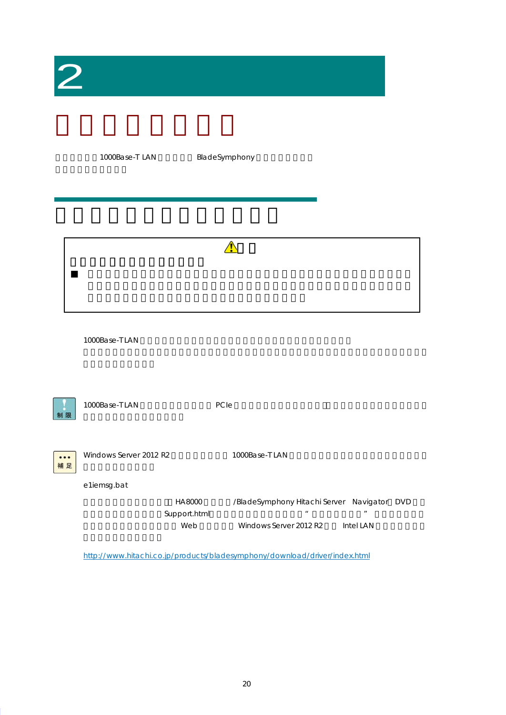1000Base-T LAN BladeSymphony



1000Base-T LAN



1000Base-T LAN PCIe

... 補足 Windows Server 2012 R2 1000Base-T LAN

e1iemsg.bat

HA8000 /BladeSymphony Hitachi Server Navigator DVD ィアに格納されている「Support.html」の各ユーティリティ一覧の"レジストリ設定" の項目を参照し Web Windows Server 2012 R2 Intel LAN

http://www.hitachi.co.jp/products/bladesymphony/download/driver/index.html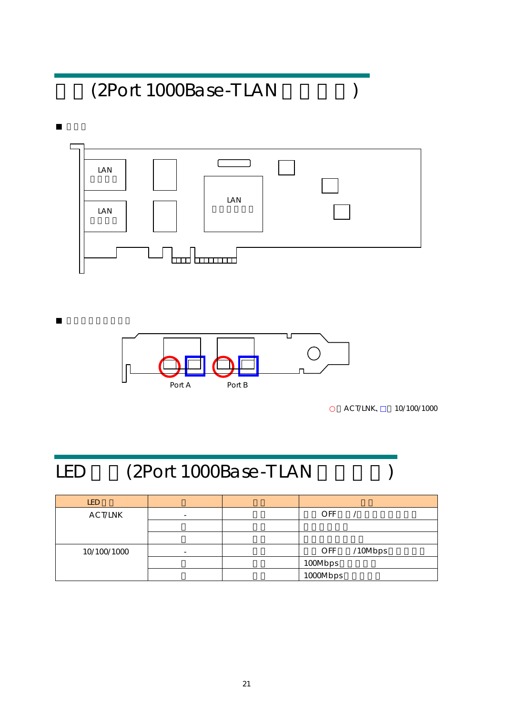# (2Port 1000Base-T LAN )





ACT/LNK、 10/100/1000

# LED (2Port 1000Base-T LAN )

| <b>LED</b>     |   |          |         |
|----------------|---|----------|---------|
| <b>ACT/LNK</b> | - | OFF      |         |
|                |   |          |         |
|                |   |          |         |
| 10/100/1000    | - | OFF      | /10Mbps |
|                |   | 100Mbps  |         |
|                |   | 1000Mbps |         |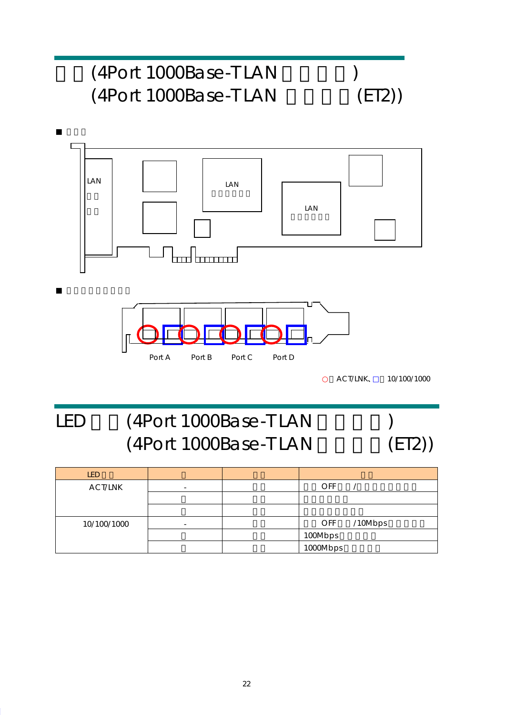

# LED (4Port 1000Base-T LAN ) (4Port 1000Base-T LAN (ET2))

| <b>LED</b>     |   |          |         |
|----------------|---|----------|---------|
| <b>ACT/LNK</b> | ۰ | OFF      |         |
|                |   |          |         |
|                |   |          |         |
| 10/100/1000    |   | OFF      | /10Mbps |
|                |   | 100Mbps  |         |
|                |   | 1000Mbps |         |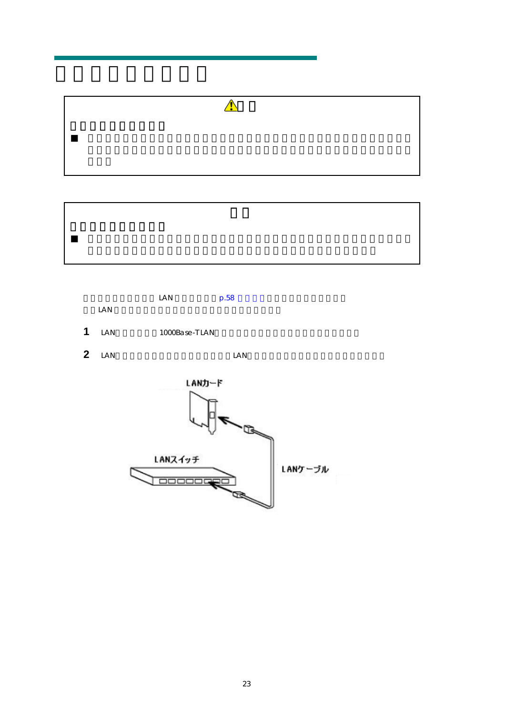# 注意



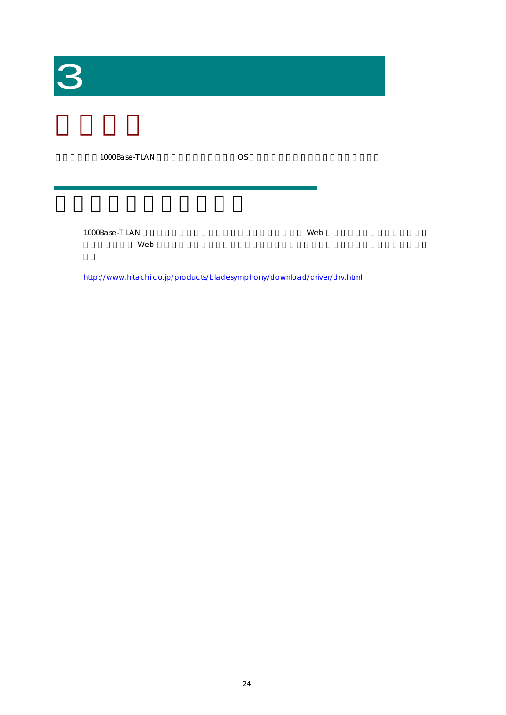

| 1000Base-TLAN         | <b>OS</b> |     |
|-----------------------|-----------|-----|
|                       |           |     |
|                       |           |     |
| 1000Base-T LAN<br>Web |           | Web |

http://www.hitachi.co.jp/products/bladesymphony/download/driver/drv.html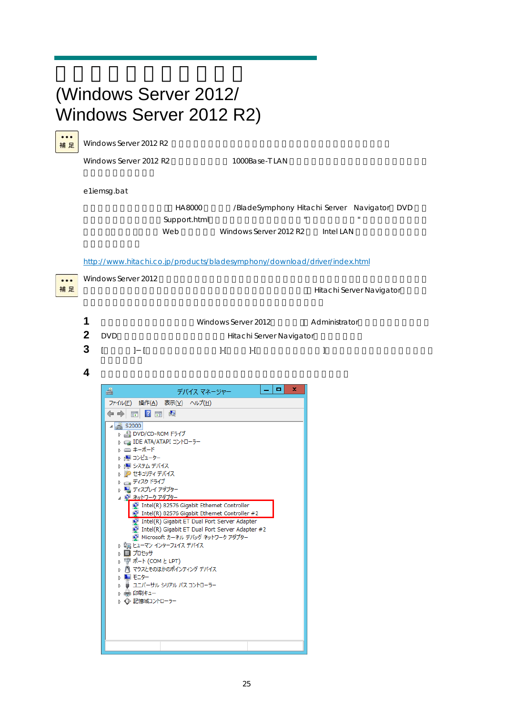## (Windows Server 2012/ Windows Server 2012 R2)



Windows Server 2012 R2

Windows Server 2012 R2 1000Base-T LAN

e1iemsg.bat

Windows Server 2012

| HA8000       | /BladeSymphony Hitachi Server Navigator DVD |    |
|--------------|---------------------------------------------|----|
| Support.html | $\mathbf{H}$                                | H. |
| Web          | Windows Server 2012 R2<br>Intel LAN         |    |

http://www.hitachi.co.jp/products/bladesymphony/download/driver/index.html



**Hitachi Server Navigator** 

|                                        |  | Windows Server 2012 |        | Administrator            |  |
|----------------------------------------|--|---------------------|--------|--------------------------|--|
| 2 $DVD$                                |  |                     |        | Hitachi Server Navigator |  |
| $3 \mid \cdot \cdot \cdot \cdot \cdot$ |  | 1-L.                | $\Box$ |                          |  |

 $4$ 

| 녬<br>デバイス マネージャー                                                                                                                                                                                                                                                                                                                                                                                                                                                                                                                    | ▫ | × |
|-------------------------------------------------------------------------------------------------------------------------------------------------------------------------------------------------------------------------------------------------------------------------------------------------------------------------------------------------------------------------------------------------------------------------------------------------------------------------------------------------------------------------------------|---|---|
| ファイル(E) 操作(A) 表示(V) ヘルプ(H)                                                                                                                                                                                                                                                                                                                                                                                                                                                                                                          |   |   |
| $\Leftrightarrow$ $\Leftrightarrow$ $\boxed{r}$ $\boxed{r}$                                                                                                                                                                                                                                                                                                                                                                                                                                                                         |   |   |
| 4 S2000<br>DE ATA/ATAPI コントローラー<br>⊳ <del>©</del> ‡−ポ−ド<br>▷ 』 コンピューター<br>▷ 1■ システム デバイス<br>▷ 109 セキュリティ デバイス<br>▷ ∈ ディスク ドライブ<br>▲ ● ネットワーク アダプター<br>Intel(R) 82576 Gigabit Ethernet Controller<br>Intel(R) 82576 Gigabit Ethernet Controller #2<br>Intel(R) Gigabit ET Dual Port Server Adapter<br>Intel(R) Gigabit ET Dual Port Server Adapter #2<br>■ Microsoft カーネル デバッグ ネットワーク アダプター<br>▷ 『端 ヒューマン インターフェイス デバイス<br>▷ ■ プロセッサ<br>▷ パ マウスとそのほかのポインティング デバイス<br><b>N E E=9-</b><br>▷ ■ ユニバーサル シリアル バス コントローラー<br>▷ ← 記憶域コントローラー |   |   |
|                                                                                                                                                                                                                                                                                                                                                                                                                                                                                                                                     |   |   |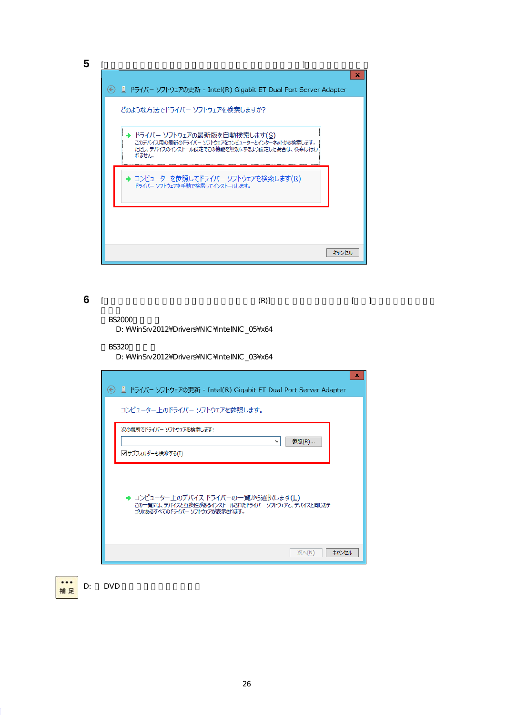



 $6$  [ $^{(R)}$ ] [ ]

BS2000

D: ¥WinSrv2012¥Drivers¥NIC¥IntelNIC\_05¥x64

#### BS320

D: ¥WinSrv2012¥Drivers¥NIC¥IntelNIC\_03¥x64

| ×<br>■ ドライバー ソフトウェアの更新 - Intel(R) Gigabit ET Dual Port Server Adapter<br>$(\Leftrightarrow)$                              |
|---------------------------------------------------------------------------------------------------------------------------|
| コンピューター上のドライバー ソフトウェアを参照します。                                                                                              |
| 次の場所でドライバー ソフトウェアを検索します:<br>参照(R)<br>v                                                                                    |
| √ サブフォルダーも検索する(I)                                                                                                         |
| → コンピューター上のデバイス ドライバーの一覧から選択します(L)<br>この一覧には、デバイスと互換性があるインストールされたドライバー ソフトウェアと、デバイスと同じカテ<br>ゴルにあるすべてのドライバー ソフトウェアが表示されます。 |
| 次へ(N)<br>キャンセル                                                                                                            |



D: DVD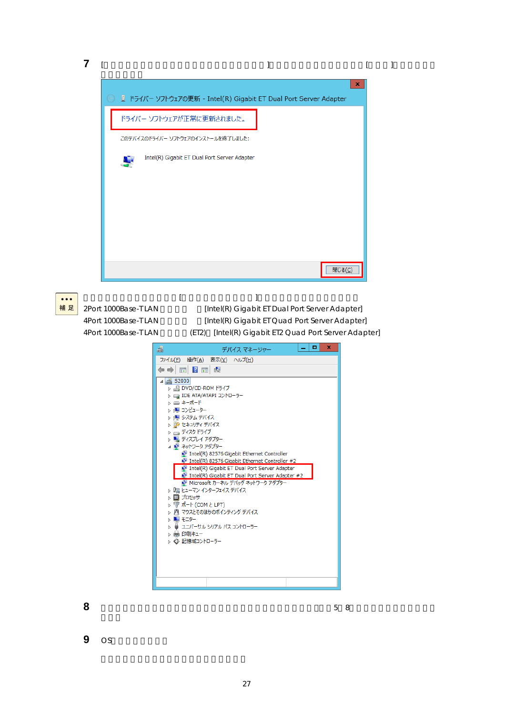



9  $\circ$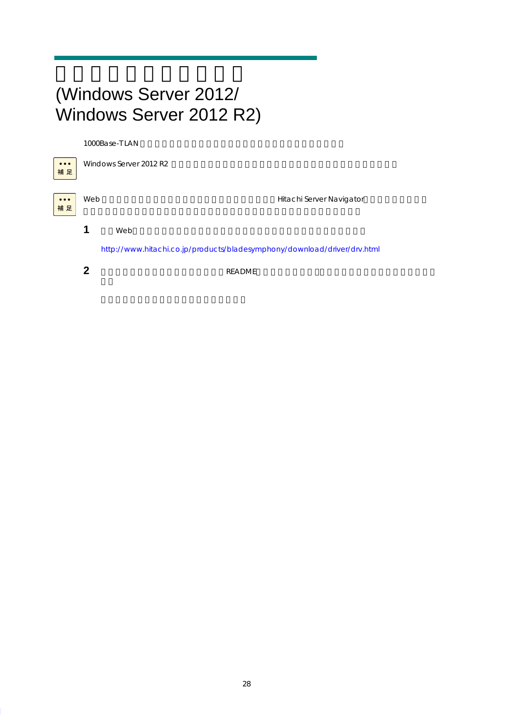## (Windows Server 2012/ Windows Server 2012 R2)

1000Base-T LAN

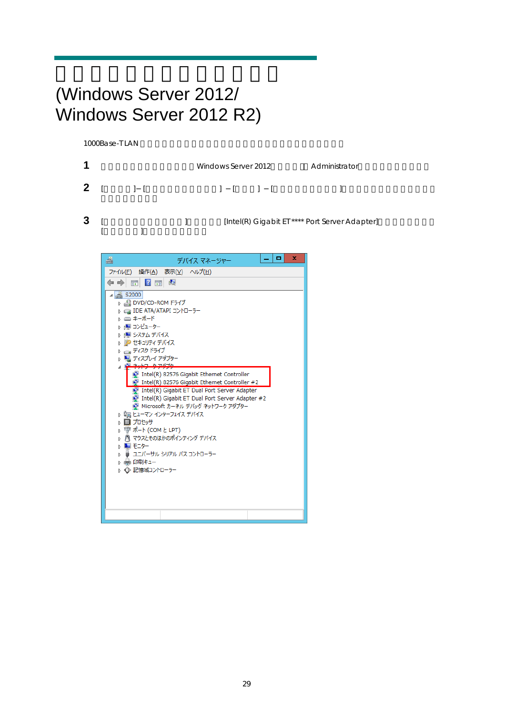## (Windows Server 2012/ Windows Server 2012 R2)

1000Base-T LAN

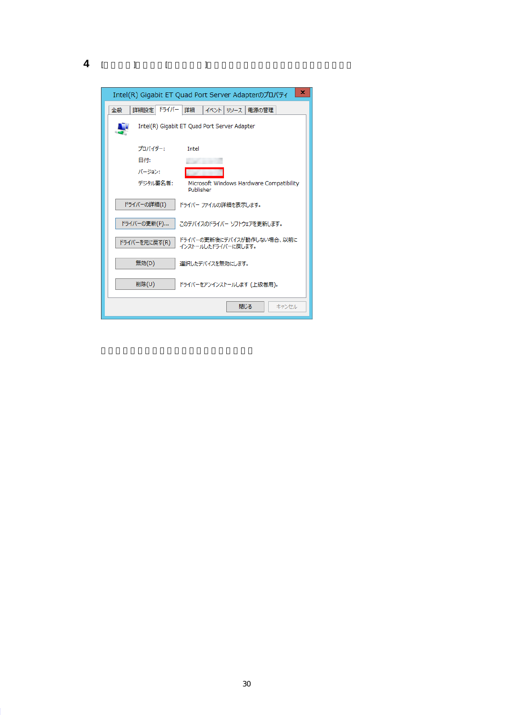4 [ ] [ ]

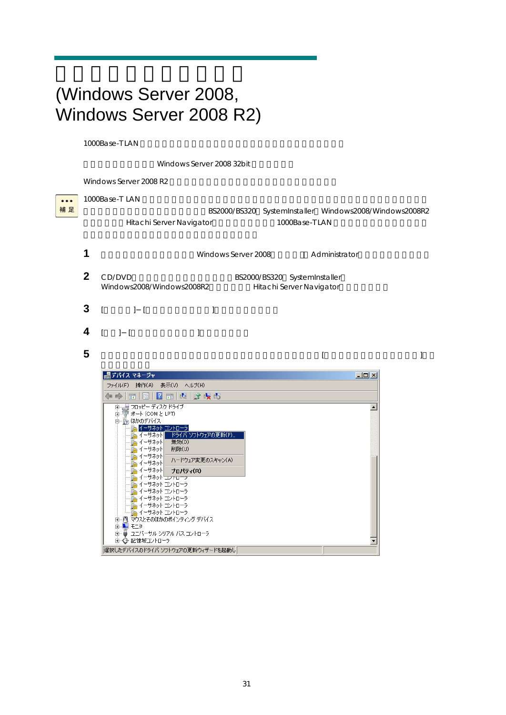## (Windows Server 2008, Windows Server 2008 R2)

1000Base-T LAN

Windows Server 2008 32bit

Windows Server 2008 R2

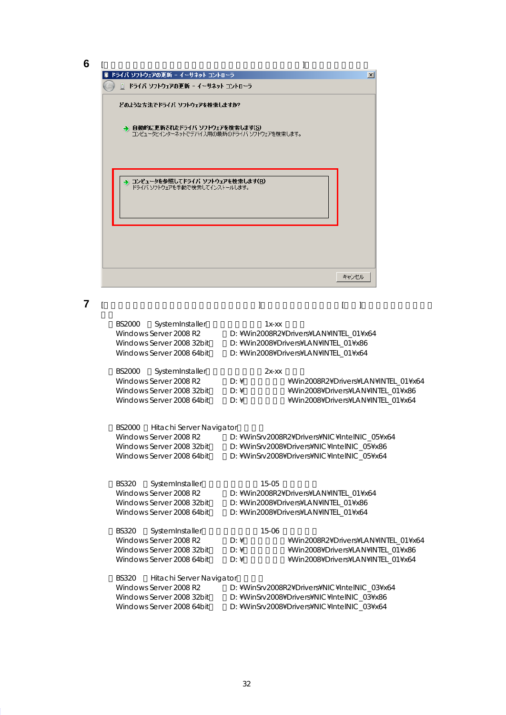



1x-xx<br>
Windows Server 2008 R2 D: ¥Win2008R2 Windows Server 2008 R2 D: ¥Win2008R2¥Drivers¥LAN¥INTEL\_01¥x64<br>Windows Server 2008 32bit D: ¥Win2008¥Drivers¥LAN¥INTFL 01¥x86 Windows Server 2008 32bit D: ¥Win2008¥Drivers¥LAN¥INTEL\_01¥x86<br>Windows Server 2008 64bit D: ¥Win2008¥Drivers¥LAN¥INTEL 01¥x64 D: ¥Win2008¥Drivers¥LAN¥INTEL\_01¥x64 BS2000 SystemInstaller 2x-xx Windows Server 2008 R2 D: ¥ ¥Win2008R2¥Drivers¥LAN¥INTEL\_01¥x64 Windows Server 2008 32bit D: ¥ ¥Win2008¥Drivers¥LAN¥INTEL\_01¥x86 Windows Server 2008 64bit D: ¥ ¥Win2008¥Drivers¥LAN¥INTEL\_01¥x64 BS2000 Hitachi Server Navigator Windows Server 2008 R2 D: ¥WinSrv2008R2¥Drivers¥NIC¥IntelNIC\_05¥x64<br>Windows Server 2008 32bit D: ¥WinSrv2008¥Drivers¥NIC¥IntelNIC 05¥x86 D: ¥WinSrv2008¥Drivers¥NIC¥IntelNIC\_05¥x86 Windows Server 2008 64bit D: ¥WinSrv2008¥Drivers¥NIC¥IntelNIC\_05¥x64 BS320 SystemInstaller 15-05 Windows Server 2008 R2 D: ¥Win2008R2¥Drivers¥LAN¥INTEL\_01¥x64 Windows Server 2008 32bit D: ¥Win2008¥Drivers¥LAN¥INTEL\_01¥x86 Windows Server 2008 64bit D: ¥Win2008¥Drivers¥LAN¥INTEL\_01¥x64 BS320 SystemInstaller 15-06<br>Windows Server 2008 R2 D: ¥ Windows Server 2008 R2 D: ¥ ¥Win2008R2¥Drivers¥LAN¥INTEL\_01¥x64<br>
Windows Server 2008 32bit D: ¥ ¥Win2008¥Drivers¥LAN¥INTEL 01¥x86 Windows Server 2008 32bit D: ¥ ¥Win2008¥Drivers¥LAN¥INTEL\_01¥x86<br>Windows Server 2008 64bit D: ¥ ¥Win2008¥Drivers¥LAN¥INTEL 01¥x64 ¥Win2008¥Drivers¥LAN¥INTEL\_01¥x64 BS320 Hitachi Server Navigator Windows Server 2008 R2 D: ¥WinSrv2008R2¥Drivers¥NIC¥IntelNIC\_03¥x64 Windows Server 2008 32bit D: ¥WinSrv2008¥Drivers¥NIC¥IntelNIC\_03¥x86

Windows Server 2008 64bit D: ¥WinSrv2008¥Drivers¥NIC¥IntelNIC\_03¥x64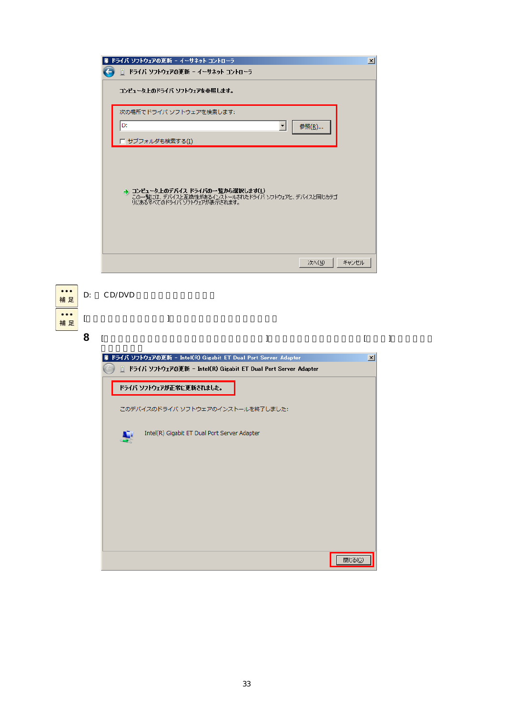| ドライバ ソフトウェアの更新 − イーサネット コントローラ                                                                                        |            | $\mathbf{x}$    |
|-----------------------------------------------------------------------------------------------------------------------|------------|-----------------|
|                                                                                                                       |            |                 |
| コンピュータ上のドライバ ソフトウェアを参照します。                                                                                            |            |                 |
| 次の場所でドライバ ソフトウェアを検索します:                                                                                               |            |                 |
| D:                                                                                                                    | ᆡ<br>参照(R) |                 |
| □ サブフォルダも検索する( <u>I</u> )                                                                                             |            |                 |
| → コンピュータ上のデバイス ドライバの一覧から選択します(1)<br>この一覧には、デバイスと互換性があるインストールされたドライバ ソフトウェアと、デバイスと同じカテゴ<br>リにあるすべてのドライバ ソフトウェアが表示されます。 |            |                 |
|                                                                                                                       | 次へ(M)      | キャンセル           |
|                                                                                                                       |            |                 |
| CD/DVD                                                                                                                |            |                 |
|                                                                                                                       |            |                 |
| 1                                                                                                                     |            |                 |
| 1                                                                                                                     |            | L               |
|                                                                                                                       |            |                 |
| ドライバ ソフトウェアの更新 - Intel(R) Gigabit ET Dual Port Server Adapter                                                         |            | $\vert x \vert$ |
| 』 ドライバ ソフトウェアの更新 – Intel(R) Gigabit ET Dual Port Server Adapter                                                       |            |                 |
|                                                                                                                       |            |                 |
| ドライバ ソフトウェアが正常に更新されました。                                                                                               |            |                 |
| このデバイスのドライバ ソフトウェアのインストールを終了しました:                                                                                     |            |                 |
|                                                                                                                       |            |                 |
| Intel(R) Gigabit ET Dual Port Server Adapter<br>تأتيك                                                                 |            |                 |
|                                                                                                                       |            |                 |
|                                                                                                                       |            |                 |
|                                                                                                                       |            |                 |
|                                                                                                                       |            |                 |
|                                                                                                                       |            |                 |
|                                                                                                                       |            |                 |
|                                                                                                                       |            |                 |
|                                                                                                                       |            |                 |
|                                                                                                                       |            | 閉じる(C)          |

……<br>補足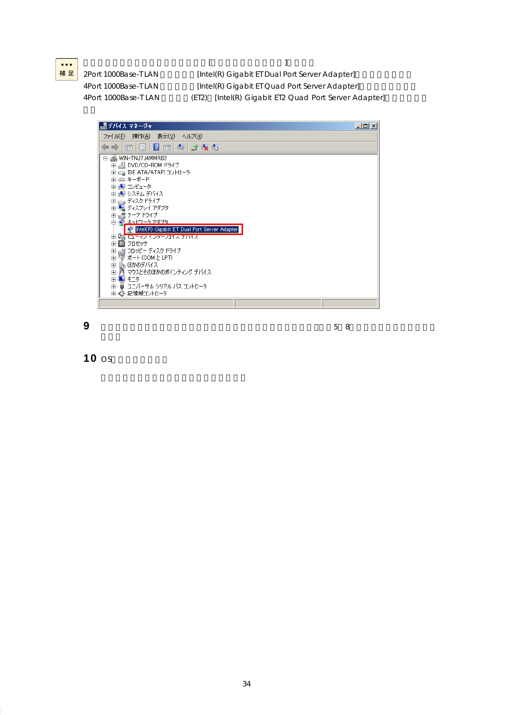ドライバのインストールが完了すると[ネットワークアダプタ]の下に、  $\frac{1}{2}$  2Port 1000Base-T LAN [Intel(R) Gigabit ET Dual Port Server Adapter] 4Port 1000Base-T LAN [Intel(R) Gigabit ET Quad Port Server Adapter] 4Port 1000Base-T LAN (ET2) [Intel(R) Gigabit ET2 Quad Port Server Adapter]

| __  デバイス マネージャ                                                                                                                                                                                                                                                                                                                                                                                                             | $   \times$ $-$ |
|----------------------------------------------------------------------------------------------------------------------------------------------------------------------------------------------------------------------------------------------------------------------------------------------------------------------------------------------------------------------------------------------------------------------------|-----------------|
| ファイル(E) 操作(A) 表示(V) ヘルプ(H)                                                                                                                                                                                                                                                                                                                                                                                                 |                 |
| $\Leftarrow$ $\Rightarrow$ FFIELEITIE                                                                                                                                                                                                                                                                                                                                                                                      |                 |
| 日 2 WIN-TNJ7J4MMRB2<br>由 - 9 DVD/CD-ROM ドライブ<br>由 - BIDE ATA/ATAPI コントローラ<br>白 一 キーボード<br>由価 コンピュータ<br>由・国 システム デバイス<br>由 言 ディスク ドライブ<br>由 - ディスプレイ アダプタ<br>画書 テープドライブ<br>白い口 ネットワーク アダプタ<br><b>D</b> Intel(R) Gigabit ET Dual Port Server Adapter<br>由 編 ヒューマン インターフェイス テハイス<br>由-■ プロセッサ<br>围<br>由『『 ポート (COMと LPT)<br>由 ね ほかのデバイス<br>由…風 マウスとそのほかのポインティング デバイス<br>由…■ モニタ<br>由…草 ユニバーサル シリアル バス コントローラ<br>由 〇 記憶域コントローラ |                 |
|                                                                                                                                                                                                                                                                                                                                                                                                                            |                 |

 $9$  5 8

 $10 \text{ os}$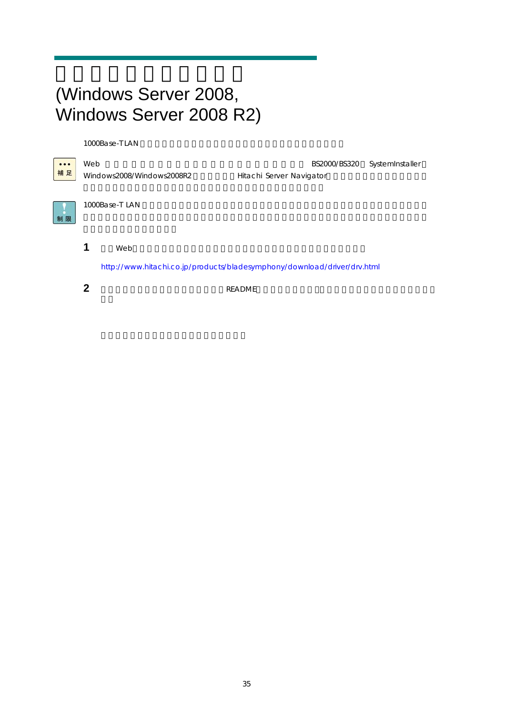## (Windows Server 2008, Windows Server 2008 R2)

#### 1000Base-T LAN



Web 
Web
area and the BS2000/BS320 SystemInstaller Windows2008/Windows2008R2 Hitachi Server Navigator



1000Base-T LAN

1 Web

http://www.hitachi.co.jp/products/bladesymphony/download/driver/drv.html

2 README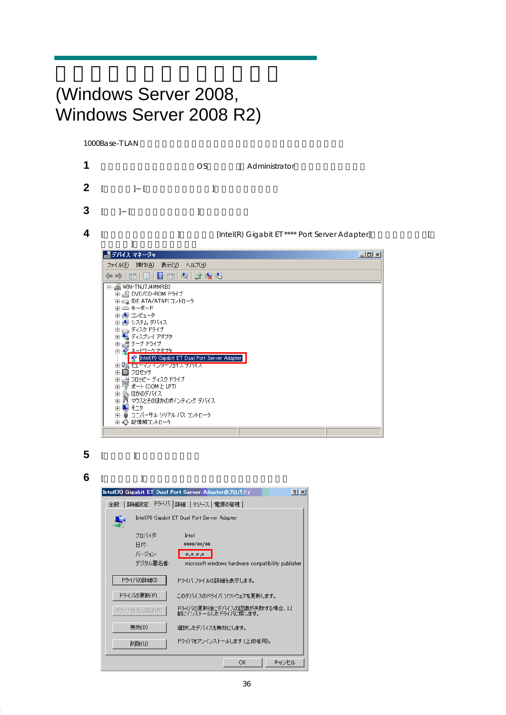## (Windows Server 2008, Windows Server 2008 R2)

#### 1000Base-T LAN



#### 5 |

#### $6$  [ ] Intel(R) Gigabit ET Dual Port Server Adapterのプロパティ  $2|X|$ 全般 |詳細設定 ドライバ |詳細 | リソース | 電源の管理 | Intel(R) Gigabit ET Dual Port Server Adapter いちゃく こうしょう しょうしょう プロバイダ: Intel  $***/**/**$ 日付 \*\*\*\*\* バージョン: デジタル署名者: microsoft windows hardware compatibility publisher ドライバの詳細(D) ドライバファイルの詳細を表示します。 ドライバの更新(P)... このデバイスのドライバ ソフトウェアを更新します。 ドライバの更新後にデバイスの認識が失敗する場合、以<br>前にインストールしたドライバに戻します。 ドライバを元に戻す(R) 無効(D) 選択したデバイスを無効にします。 ドライバをアンインストールします (上級者用)。 削除(U)  $\mathsf{OK}%$ キャンセル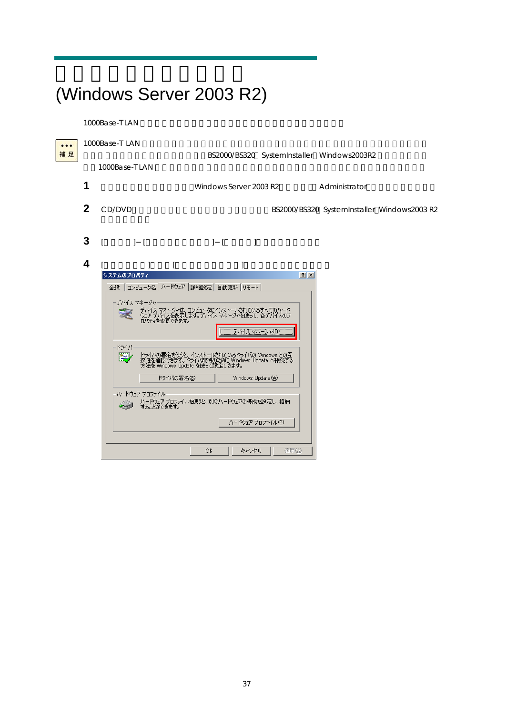# (Windows Server 2003 R2)

1000Base-T LAN

| 補足 |   | 1000Base-T LAN<br>1000Base-TLAN                          |                                                                                                                                                                                                                                                                                                                                   |                                                         |       |                        | BS2000/BS320 SystemInstaller Windows2003R2  |  |
|----|---|----------------------------------------------------------|-----------------------------------------------------------------------------------------------------------------------------------------------------------------------------------------------------------------------------------------------------------------------------------------------------------------------------------|---------------------------------------------------------|-------|------------------------|---------------------------------------------|--|
|    | 1 |                                                          |                                                                                                                                                                                                                                                                                                                                   |                                                         |       | Windows Server 2003 R2 | Administrator                               |  |
|    |   |                                                          |                                                                                                                                                                                                                                                                                                                                   |                                                         |       |                        |                                             |  |
|    | 2 | CD/DVD                                                   |                                                                                                                                                                                                                                                                                                                                   |                                                         |       |                        | BS2000/BS320 SystemInstaller Windows2003 R2 |  |
|    | 3 | $\sqrt{ }$<br>$\frac{1}{2}$                              |                                                                                                                                                                                                                                                                                                                                   | $\Box$                                                  |       |                        |                                             |  |
|    | 4 | システムのプロパティ<br>デバイス マネージャ<br>ドライバ<br>罗<br>-ハードウェア プロファイル・ | 全般 コンピュータ名 ハードウェア 詳細設定 自動更新 リモート<br>デバイス マネージャは、コンピュータにインストールされているすべてのハード<br>ウェア デバイスを表示します。デバイス マネージャを使って、各デバイスのプ<br>ロパティを変更できます。<br>ドライバの署名を使うと、インストールされているドライバの Windows との互<br>換性を確認できます。ドライバ取得のために Windows Update へ接続する<br>方法を Windows Update を使って設定できます。<br>ドライバの署名(S)<br>ハードウェア プロファイルを使うと、別のハードウェアの構成を設定し、格納<br>することができます。 | テバイス マネージャ(D)<br>Windows Update (W)<br>ハードウェア プロファイル(P) |       | ? X                    |                                             |  |
|    |   |                                                          |                                                                                                                                                                                                                                                                                                                                   | OK                                                      | キャンセル | 適用(A)                  |                                             |  |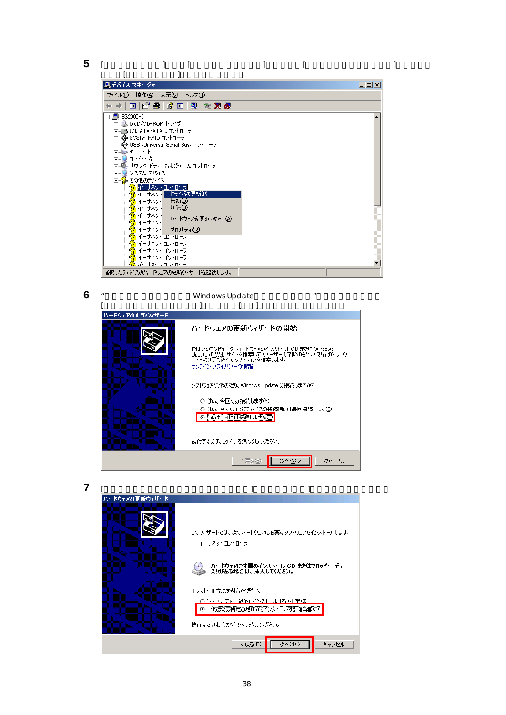| $-10x$<br>具テバイスマネージャ                              |  |
|---------------------------------------------------|--|
| ファイル(E) 操作(A) 表示(V) ヘルプ(H)                        |  |
| ← →   30   62   62   83   33   33   33   33       |  |
| 日· 易 BS2000-0                                     |  |
| 由 2.DVD/CD-ROM ドライブ                               |  |
| 由 合 IDE ATA/ATAPI コントローラ                          |  |
| 由 (c) SOSIと RAID コントローラ                           |  |
| 由 争 USB (Universal Serial Bus) コントローラ             |  |
| 由 やっポード                                           |  |
| 由一見 コンピュータ                                        |  |
| 由…–◎。 サウンド、ビデオ、およびゲーム コントローラ<br>画…■ システム デバイス     |  |
| 白々 その他のデバイス                                       |  |
| 2 イーサネット コントローラ!                                  |  |
| ドライバの更新(P)<br>$2 + 1$                             |  |
| 無効(D)<br><mark>?</mark> イーサネット                    |  |
| 削除⑩<br><mark>?</mark> イーサネット                      |  |
| <mark>?</mark> イーサネット<br>ハードウェア変更のスキャン(A)         |  |
| 2.イーサネット                                          |  |
| <mark>?</mark> イーサネット<br>ブロパティ(R)                 |  |
| <mark>?</mark> イーサネットコファローラ                       |  |
| <mark>す</mark> イーサネット コントローラ                      |  |
| タトイーサネット コントローラ                                   |  |
| タ <mark>ト</mark> イーサネット コントローラ<br>タ イーサネット コントローラ |  |
| 選択したデバイスのハードウェアの更新ウィザードを起動します。                    |  |

6 "
Vindows Update
"  $\begin{bmatrix} \cdot & \cdot & \cdot & \cdot \end{bmatrix}$  (  $\begin{bmatrix} \cdot & \cdot & \cdot & \cdot \end{bmatrix}$  $[$  (  $]$   $[$   $]$   $[$   $]$   $[$   $]$   $[$   $]$   $[$   $]$   $[$   $]$   $[$   $]$   $[$   $]$   $[$   $]$   $[$   $]$   $[$   $]$   $[$   $]$   $[$   $]$   $[$   $]$   $[$   $]$   $[$   $]$   $[$   $]$   $[$   $]$   $[$   $]$   $[$   $]$   $[$   $]$   $[$   $]$   $[$   $]$   $[$   $]$   $[$   $]$   $[$   $]$   $[$ ハートウェアの更新ウィザートの開始 お使いのコンピュータ、ハードウェアのインストール CD または Windows<br>Update の Web サイトを検索して (ユーザーの了解のもとに)現在のソフトウ<br>ェアおよび更新されたソフトウェアを検索します。 オンラインプライバシーの情報 ソフトウェア検索のため、Windows Update に接続しますか? ○ はい、今回のみ接続します(<u>Y</u>)<br>○ はい、今すぐおよびデバイスの接続時には毎回接続します(E) ○いえ今回は接続しませんの】 続行するには、D欠へ]をクリックしてください。 │ 〈戻る(B) │ <mark>│ 次へ(N) ></mark> キャンセル

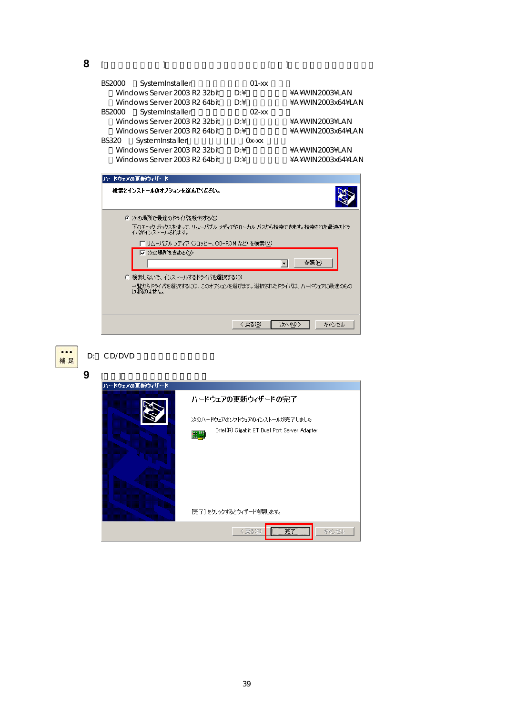| BS2000        | SystemInstaller              | $01-xx$                         |                       |
|---------------|------------------------------|---------------------------------|-----------------------|
|               | Windows Server 2003 R2 32bit | $D \cdot \mathcal{F}$           | <b>¥A¥WIN2003¥LAN</b> |
|               | Windows Server 2003 R2 64bit | $D \cdot \mathcal{F}$           | ¥A¥WIN2003x64¥LAN     |
| <b>BS2000</b> | SystemInstaller              | $02-xx$                         |                       |
|               | Windows Server 2003 R2 32bit | $D \cdot \tilde{\mathbf{x}}$    | ¥A¥WIN2003¥LAN        |
|               | Windows Server 2003 R2 64bit | $D \cdot \overline{\mathbf{X}}$ | ¥A¥WIN2003x64¥LAN     |
| <b>BS320</b>  | SystemInstaller              | $0x$ - $xx$                     |                       |
|               | Windows Server 2003 R2 32bit | $D \cdot \mathcal{F}$           | ¥A¥WIN2003¥LAN        |
|               | Windows Server 2003 R2 64bit | $D \cdot \mathbf{X}$            | ¥A¥WIN2003x64¥LAN     |



 $\cdots$ 補足

# D: CD/DVD

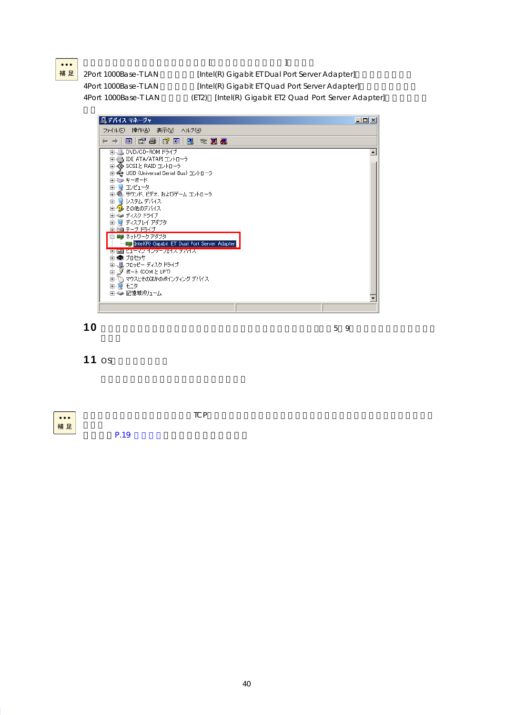ドライバのインストールが完了すると[ネットワークアダプタ]の下に、  $\cdots$ 補足 2Port 1000Base-T LAN [Intel(R) Gigabit ET Dual Port Server Adapter] 4Port 1000Base-T LAN [Intel(R) Gigabit ET Quad Port Server Adapter] 4Port 1000Base-T LAN (ET2) [Intel(R) Gigabit ET2 Quad Port Server Adapter]



 $10$  5 9





 $\Gamma$ CP

 $P.19$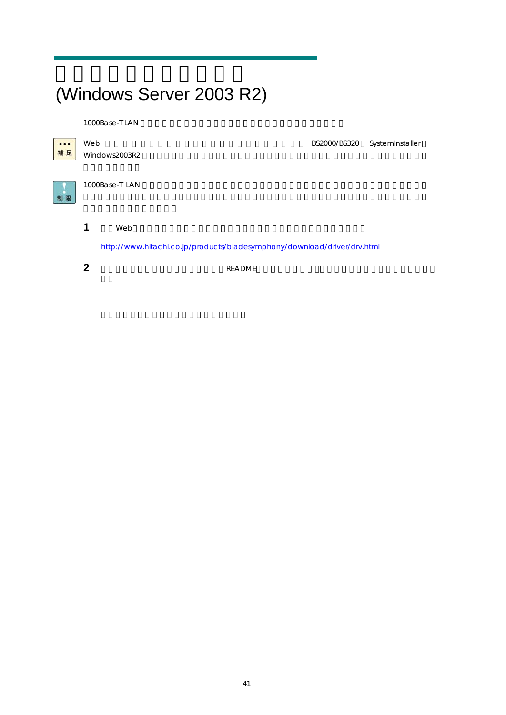# (Windows Server 2003 R2)

1000Base-T LAN



Windows2003R2

Web 
Web
area and the BS2000/BS320 SystemInstaller



1000Base-T LAN

1 Web

http://www.hitachi.co.jp/products/bladesymphony/download/driver/drv.html

2 README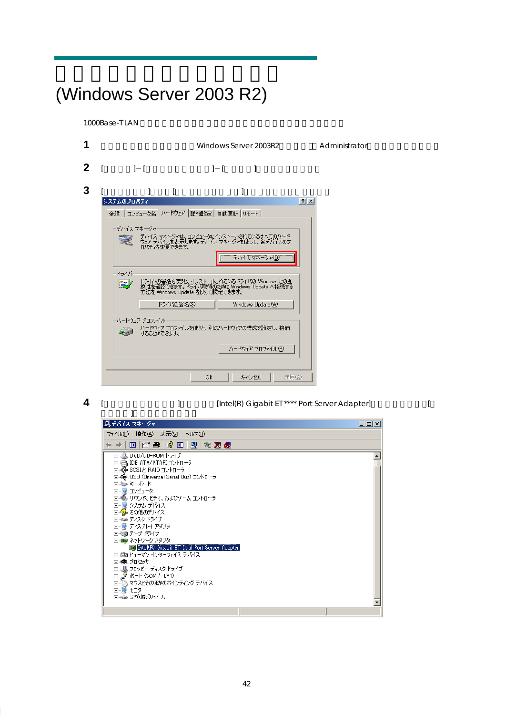# (Windows Server 2003 R2)

1000Base-T LAN



4 [
Bridge Lintel(R) Gigabit ET \*\*\*\* Port Server Adapter]  $\Gamma$ 具テバイスマネージャ  $\Box$ D $\Box$ ファイル(E) 操作(A) 表示(V) ヘルプ(H) 由 SDVD/CD-ROM ドライブ  $\overline{\phantom{a}}$ the DE ATA/ATAPI コントローラ<br>日 ◆ SCSIと RAID コントローラ<br>日 ◆ USB (Universal Serial Bus) コントローラ <del>E = ● ● > > ボード</del><br>- E → コンピュータ<br>- E → コンピュータ<br>- E → ラーサンド、ビデオ、およびゲーム コントローラ<br>- E → ラータンステム デバイス<br>- E → G → ラーバイス - → ディスク ドライブ<br>- → 号 ディスプレイ アダプタ 

由 - 秦 フロセッサ<br>田 - 見 フロッピー ディスク ドライブ<br>田 - ア ポート (COMと LPT)<br>田 - ワ マウスとそのほかのポインティング デバイス<br>田 - 号 モニタ<br>田 - 号 モニタ -<br>日 - 記憶域ポリューム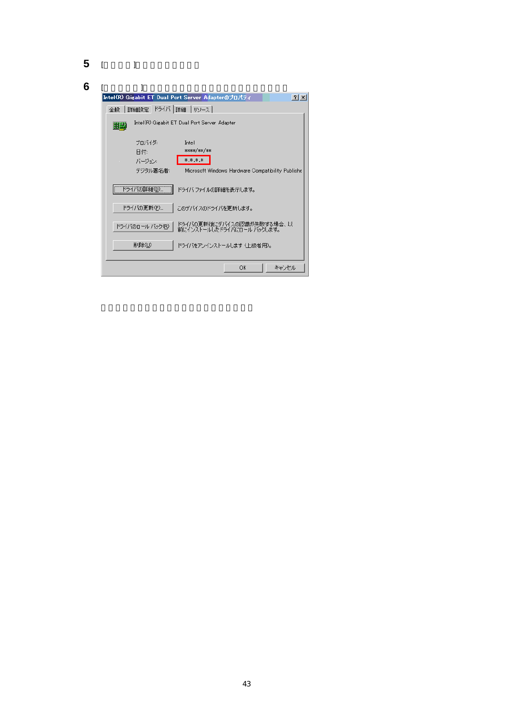5 [ J

| ? X <br>Intel(R) Gigabit ET Dual Port Server Adapterのプロパティ                 |
|----------------------------------------------------------------------------|
| 全般  詳細設定 ドライバ  詳細   リソース                                                   |
| Intel(R) Gigabit ET Dual Port Server Adapter<br>田野                         |
| プロバイダ:<br>Intel                                                            |
| ****/**/**<br>日付:                                                          |
| *.*.*.*<br>バージョン                                                           |
| デジタル署名者:<br>Microsoft Windows Hardware Compatibility Publishe              |
| ドライバの詳細(D)<br>ドライバ ファイルの詳細を表示します。                                          |
| ドライバの更新(P)<br>このデバイスのドライバを更新します。                                           |
| ドライバの更新後にデバイスの認識が失敗する場合、以<br>前にインストールしたドライバにロール バックします。<br>ドライバのロール バック(R) |
| 削除(U)<br>ドライバをアンインストールします (上級者用)。                                          |
| キャンセル<br>OK                                                                |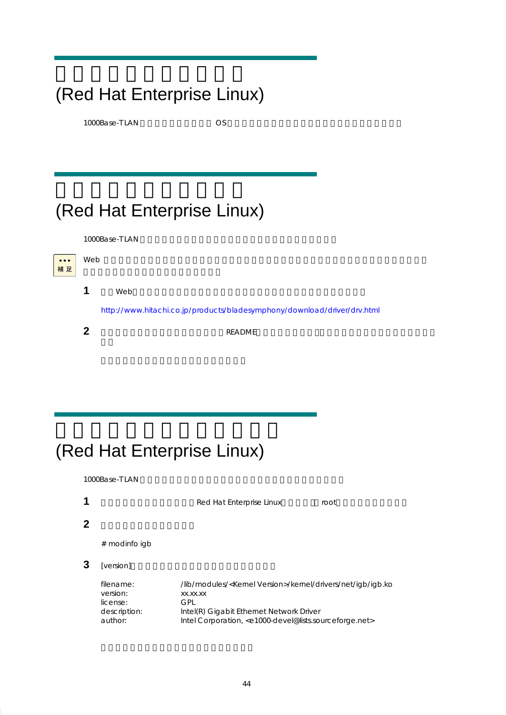# (Red Hat Enterprise Linux)

1000Base-T LAN OS

# (Red Hat Enterprise Linux)

1000Base-T LAN



1 Web

http://www.hitachi.co.jp/products/bladesymphony/download/driver/drv.html

2 README

# (Red Hat Enterprise Linux)

1000Base-T LAN

| 1 |                                                              | Red Hat Enterprise Linux<br>root                                                                                                                                                                                                                 |  |
|---|--------------------------------------------------------------|--------------------------------------------------------------------------------------------------------------------------------------------------------------------------------------------------------------------------------------------------|--|
| 2 |                                                              |                                                                                                                                                                                                                                                  |  |
|   | $#$ modinfo igb                                              |                                                                                                                                                                                                                                                  |  |
|   | [version]                                                    |                                                                                                                                                                                                                                                  |  |
|   | filename:<br>version:<br>license:<br>description:<br>author: | /lib/modules/ <kernel version="">/kernel/drivers/net/igb/igb.ko<br/>XX.XX.XX<br/><b>GPL</b><br/>Intel(R) Gigabit Ethernet Network Driver<br/>Intel Corporation, <e1000-devel@lists.sourceforge.net></e1000-devel@lists.sourceforge.net></kernel> |  |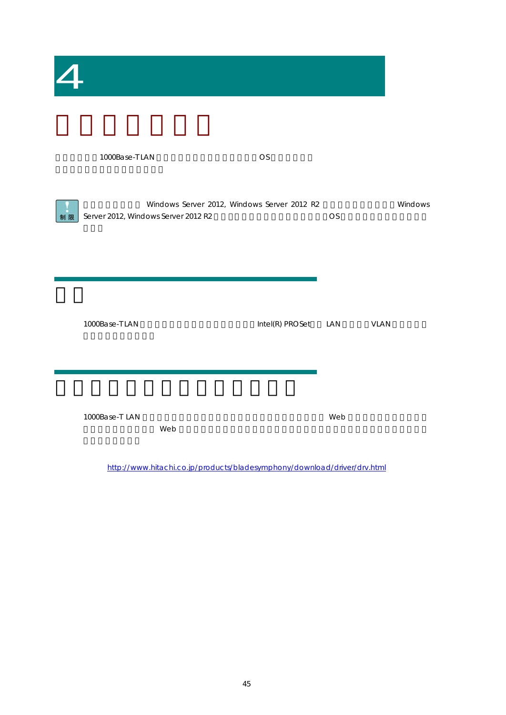

| 1000Base-T LAN |                                     | <b>OS</b>                                   |           |         |
|----------------|-------------------------------------|---------------------------------------------|-----------|---------|
|                | Server 2012, Windows Server 2012 R2 | Windows Server 2012, Windows Server 2012 R2 | <b>OS</b> | Windows |
| 1000Base-T LAN |                                     | Intel(R) PROSet                             | LAN       | VLAN    |
| 1000Base-T LAN | Web                                 |                                             | Web       |         |

http://www.hitachi.co.jp/products/bladesymphony/download/driver/drv.html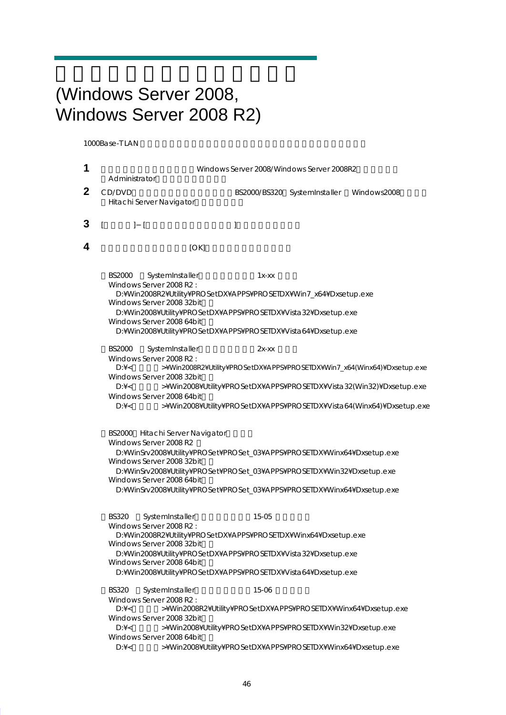#### (Windows Server 2008, Windows Server 2008 R2)

1000Base-T LAN

| 1              | Windows Server 2008/Windows Server 2008R2<br>Administrator                                                                                                                                                                                                                                                                                                                              |
|----------------|-----------------------------------------------------------------------------------------------------------------------------------------------------------------------------------------------------------------------------------------------------------------------------------------------------------------------------------------------------------------------------------------|
| $\overline{2}$ | CD/DVD<br>BS2000/BS320 SystemInstaller Windows2008<br>Hitachi Server Navigator                                                                                                                                                                                                                                                                                                          |
| 3              | $\lceil$<br>$\frac{1}{2}$<br>1                                                                                                                                                                                                                                                                                                                                                          |
| 4              | [OK]                                                                                                                                                                                                                                                                                                                                                                                    |
|                | BS2000<br>SystemInstaller<br>$1x - xx$<br>Windows Server 2008 R2:<br>D:¥Win2008R2¥Utility¥PROSetDX¥APPS¥PROSETDX¥Win7_x64¥Dxsetup.exe<br>Windows Server 2008 32bit<br>D:¥Win2008¥Utility¥PROSetDX¥APPS¥PROSETDX¥Vista32¥Dxsetup.exe<br>Windows Server 2008 64bit<br>D:¥Win2008¥Utility¥PROSetDX¥APPS¥PROSETDX¥Vista64¥Dxsetup.exe                                                       |
|                | <b>BS2000</b><br>SystemInstaller<br>$2x$ - $xx$<br>Windows Server 2008 R2:<br>D:4<<br>>¥Win2008R2¥Utility¥PROSetDX¥APPS¥PROSETDX¥Win7_x64(Winx64)¥Dxsetup.exe<br>Windows Server 2008 32bit<br>D:4<<br>>\Win2008\tullilty\PROSetDX\APPS\PROSETDX\Vista32(Win32)\Dxsetup.exe<br>Windows Server 2008 64bit<br>>¥Win2008¥Utility¥PROSetDX¥APPS¥PROSETDX¥Vista64(Winx64)¥Dxsetup.exe<br>D:4< |
|                | BS2000 Hitachi Server Navigator<br>Windows Server 2008 R2<br>D:¥WinSrv2008¥Utility¥PROSet¥PROSet_03¥APPS¥PROSETDX¥Winx64¥Dxsetup.exe<br>Windows Server 2008 32bit<br>D:¥WinSrv2008¥Utility¥PROSet¥PROSet_03¥APPS¥PROSETDX¥Win32¥Dxsetup.exe<br>Windows Server 2008 64bit<br>D:¥WinSrv2008¥Utility¥PROSet¥PROSet_03¥APPS¥PROSETDX¥Winx64¥Dxsetup.exe                                     |
|                | <b>BS320</b><br>SystemInstaller<br>15-05<br>Windows Server 2008 R2:<br>D:¥Win2008R2¥Utility¥PROSetDX¥APPS¥PROSETDX¥Winx64¥Dxsetup.exe<br>Windows Server 2008 32bit<br>D:¥Win2008¥Utility¥PROSetDX¥APPS¥PROSETDX¥Vista32¥Dxsetup.exe<br>Windows Server 2008 64bit<br>D:¥Win2008¥Utility¥PROSetDX¥APPS¥PROSETDX¥Vista64¥Dxsetup.exe                                                       |
|                | <b>BS320</b><br>SystemInstaller<br>15-06<br>Windows Server 2008 R2:<br>D:4<<br>>\Win2008R2\Utility\PROSetDX\APPS\PROSETDX\Winx64\Dxsetup.exe                                                                                                                                                                                                                                            |
|                | Windows Server 2008 32bit<br>>\Win2008\tutility\PROSetDX\APPS\PROSETDX\Win32\Quin2008\up=<br>D:4<                                                                                                                                                                                                                                                                                       |
|                | Windows Server 2008 64bit<br>D:4<<br>>\Win2008\Utility\PROSetDX\APPS\PROSETDX\Winx64\Dxsetup.exe                                                                                                                                                                                                                                                                                        |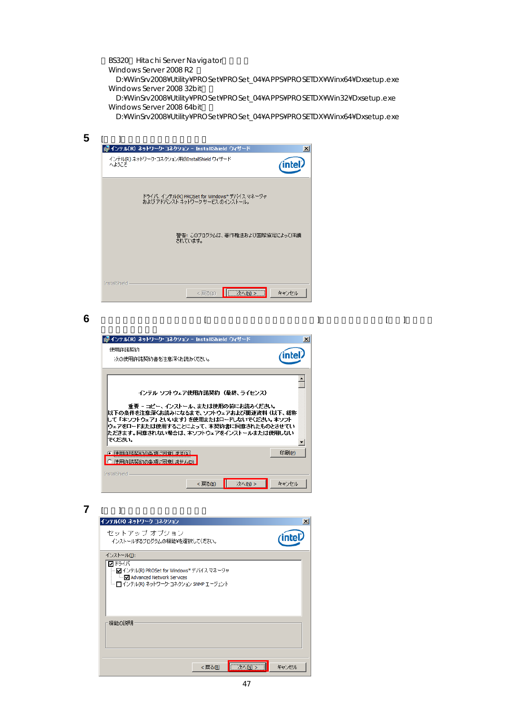BS320 Hitachi Server Navigator Windows Server 2008 R2 D:¥WinSrv2008¥Utility¥PROSet¥PROSet\_04¥APPS¥PROSETDX¥Winx64¥Dxsetup.exe Windows Server 2008 32bit D:¥WinSrv2008¥Utility¥PROSet¥PROSet\_04¥APPS¥PROSETDX¥Win32¥Dxsetup.exe Windows Server 2008 64bit

D:¥WinSrv2008¥Utility¥PROSet¥PROSet\_04¥APPS¥PROSETDX¥Winx64¥Dxsetup.exe

| 5        | -1                                                                                                                                                                                                                    |         |
|----------|-----------------------------------------------------------------------------------------------------------------------------------------------------------------------------------------------------------------------|---------|
|          | 霞インテル(R) ネットワーク・コネクション - InstallShield ウィザード<br>$\vert x \vert$                                                                                                                                                       |         |
|          | インテル(R) ネットワーク・コネクション用のInstallShield ウィザード<br>intel <sup>)</sup><br>へようこそ                                                                                                                                             |         |
|          | ドライバ、インテル(R) PROSet for Windows* デバイス マネージャ<br>および アドバンスト ネットワーク サービス のインストール。                                                                                                                                        |         |
|          | 警告: このプログラムは、著作権法および国際協定によって保護<br>されています。                                                                                                                                                                             |         |
|          | InstallShield -<br>$\sqrt{2 \times 10^{20}}$<br>$<$ 戻る $(B)$<br>キャンセル                                                                                                                                                 |         |
|          |                                                                                                                                                                                                                       |         |
| 6        | ſ                                                                                                                                                                                                                     | 1<br>f. |
|          | 霞インテル(R) ネットワーク・コネクション - InstallShield ウィザード<br>$\vert x \vert$                                                                                                                                                       |         |
|          | 使用許諾契約<br>intel<br>次の使用許諾契約書を注意深くお読みください。                                                                                                                                                                             |         |
|          | $\blacktriangle$                                                                                                                                                                                                      |         |
|          | インテル ソフトウェア使用許諾契約 (最終、ライセンス)                                                                                                                                                                                          |         |
|          | 重要 - コピー、インストール、または使用の前にお読みください。<br>以下の条件を注意深くお読みになるまで、ソフトウェアおよび関連資料 (以下、総称<br>して 「本ソフトウェア」といいます)を使用またはロードしないでください。本ソフト<br>ウェアをロードまたは使用することによって、本契約書に同意されたものとさせてい<br>ただきます。同意されない場合は、本ソフトウェアをインストールまたは使用しない<br>でください。 |         |
|          | ○ 使用许諾契約の多項に同意します(A)<br>印刷(P)<br>○ 使用許諾契約の条項に同意しません(D)                                                                                                                                                                |         |
|          | InstallShield -                                                                                                                                                                                                       |         |
|          | 次へ(N) ><br><戻る(B)<br>キャンセル                                                                                                                                                                                            |         |
|          |                                                                                                                                                                                                                       |         |
| $\prime$ | 1<br>ſ                                                                                                                                                                                                                |         |

| インテル(R) ネットワーク コネクション                                                                                                                   |        |                   | $\vert x \vert$ |
|-----------------------------------------------------------------------------------------------------------------------------------------|--------|-------------------|-----------------|
| ヤットアップ オブション<br>インストールするプログラムの機能容を選択してください。                                                                                             |        |                   |                 |
| インストール(I):                                                                                                                              |        |                   |                 |
| 図ドライバ<br>├― 17 インテル(R) PROSet for Windows* デバイス マネージャ<br><b>I</b> M Advanced Network Services<br>└- □ インテル(R) ネットワーク・コネクション SNMP エージェント |        |                   |                 |
| 機能の説明                                                                                                                                   |        |                   |                 |
|                                                                                                                                         | <戻る(B) | <b>次へ(N) &gt;</b> | キャンセル           |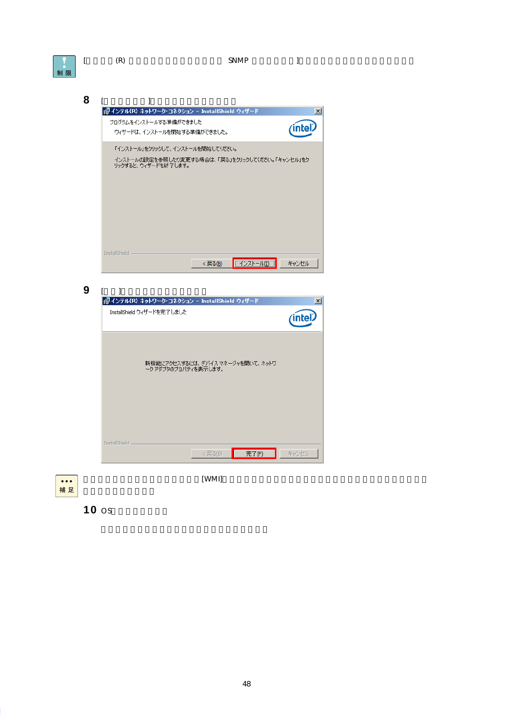



 $\overline{\mathbf{x}}$ 

9 [一]

| L<br>J.<br>  禮インテル(R) ネットワーク・コネクション - InstallShield ウィザード | $\boldsymbol{\mathsf{x}}$ |
|-----------------------------------------------------------|---------------------------|
| InstallShield ウィザードを完了しました                                |                           |
|                                                           |                           |
| 新機能にアクセスするには、デバイス マネージャを開いて、ネットワ<br>ークアダプタのプロパティを表示します。   |                           |
|                                                           |                           |
|                                                           |                           |
|                                                           |                           |
| <b>InstallShield</b>                                      |                           |
| 完了(F)<br><戻る(B)                                           | キャンセル                     |



 $[WM]$ 

 $10$  os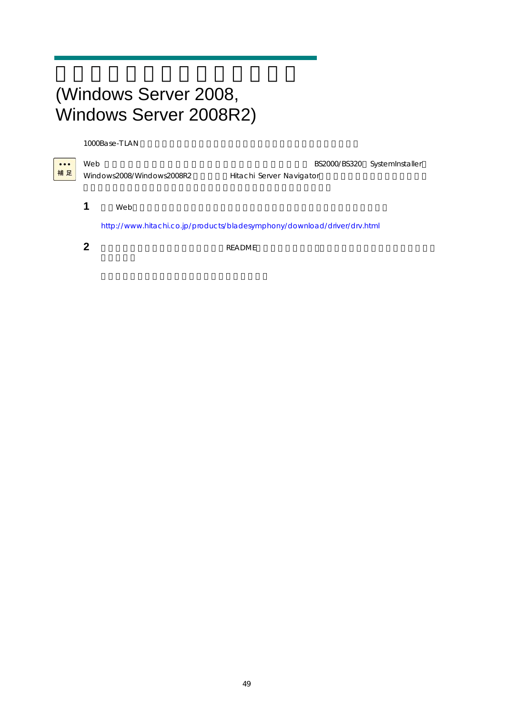## (Windows Server 2008, Windows Server 2008R2)

1000Base-T LAN



Web  $\sim$  BS2000/BS320 SystemInstaller Windows2008/Windows2008R2 Hitachi Server Navigator

1 Web

http://www.hitachi.co.jp/products/bladesymphony/download/driver/drv.html

2 README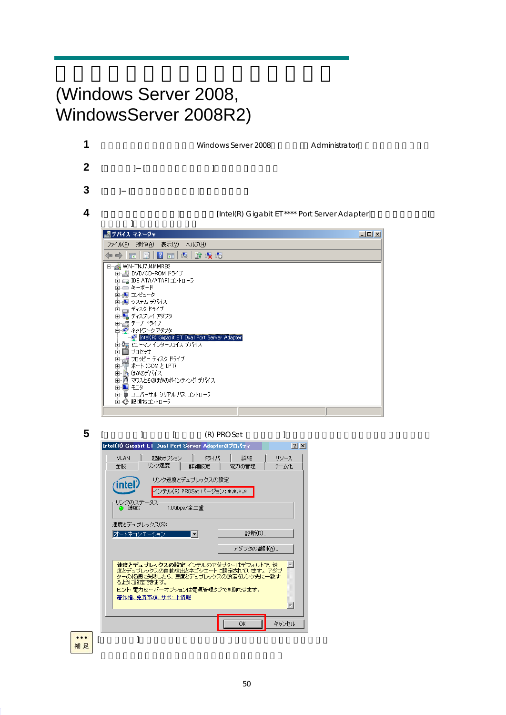## (Windows Server 2008, WindowsServer 2008R2)



5 [ ] [ (R) PROSet ] Intel(R) Gigabit ET Dual Port Server Adapterのプロパティ  $2|X|$ VLAN | 起動オプション | ドライバ | 詳細 リソース リンク速度 | 詳細設定 | 電力の管理 全般 チーム化 リンク速度とデュブレックスの設定 (intel) インテル(R) PROSet バージョン: \*.\*.\*.\* リンクのステー<br>● 速度: タス 1.0Gbps/全二重 速度とデュプレックス(S):  $\overline{\mathbf{E}}$ 診断( $\underline{\mathsf{D}}$ ). オートネゴシエーション アダプタの識別(A). **速度とデュブレックスの設定** インテルのアダプターはデフォルトで、速度とデュブレックスの自動検出とネゴシエートに設定されています。 アダプ<br>度とデュブレックスの自動検出とネゴシエートに設定されています。 アダプ<br>るように設定できます。<br>トント、愛力セーバーオゴションは愛嬌発現のゴネ製剤できます  $\Box$ ヒント:電力セーバーオブションは電源管理タブで制御できます。 著作権、免責事項、サポート情報  $\Box$ OK キャンセル  $\cdots$  $[$   $]$ 補足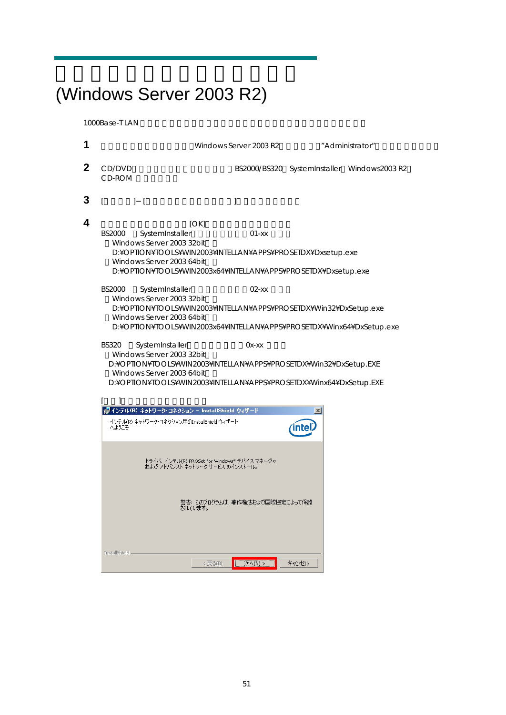# (Windows Server 2003 R2)

1000Base-T LAN

| 1 |                                                                                                                                                                                                                                                      | Windows Server 2003 R2 |       | "Administrator"                             |  |  |  |  |
|---|------------------------------------------------------------------------------------------------------------------------------------------------------------------------------------------------------------------------------------------------------|------------------------|-------|---------------------------------------------|--|--|--|--|
| 2 | CD/DVD<br>CD-ROM                                                                                                                                                                                                                                     |                        |       | BS2000/BS320 SystemInstaller Windows2003 R2 |  |  |  |  |
| 3 | $1 \quad$<br>ſ                                                                                                                                                                                                                                       | 1                      |       |                                             |  |  |  |  |
| 4 | [OK]<br>SystemInstaller<br><b>BS2000</b><br>Windows Server 2003 32bit<br>D:¥OPTION¥TOOLS¥WIN2003¥INTELLAN¥APPS¥PROSETDX¥Dxsetup.exe<br>Windows Server 2003 64bit<br>D:¥OPTION¥TOOLS¥WIN2003x64¥INTELLAN¥APPS¥PROSETDX¥Dxsetup.exe                    | $01 - XX$              |       |                                             |  |  |  |  |
|   | SystemInstaller<br><b>BS2000</b><br>$02 - XX$<br>Windows Server 2003 32bit<br>D:¥OPTION¥TOOLS¥WIN2003¥INTELLAN¥APPS¥PROSETDX¥Win32¥DxSetup.exe<br>Windows Server 2003 64 bit<br>D:¥OPTION¥TOOLS¥WIN2003x64¥INTELLAN¥APPS¥PROSETDX¥Winx64¥DxSetup.exe |                        |       |                                             |  |  |  |  |
|   | <b>BS320</b><br>SystemInstaller<br>Windows Server 2003 32bit<br>D:¥OPTION¥TOOLS¥WIN2003¥INTELLAN¥APPS¥PROSETDX¥Win32¥DxSetup.EXE<br>Windows Server 2003 64bit<br>D:¥OPTION¥TOOLS¥WIN2003¥INTELLAN¥APPS¥PROSETDX¥Winx64¥DxSetup.EXE                   | $0x$ - $xx$            |       |                                             |  |  |  |  |
|   | 禮インテル(R) ネットワーク・コネクション - InstallShield ウィザード                                                                                                                                                                                                         | $\vert x \vert$        |       |                                             |  |  |  |  |
|   | インテル(R) ネットワーク・コネクション用のInstallShield ウィザード<br>へようこそ                                                                                                                                                                                                  |                        | nte   |                                             |  |  |  |  |
|   | ドライバ、インテル(R) PROSet for Windows* デバイス マネージャ<br>および アドバンスト ネットワーク サービス のインストール。<br>警告: このプログラムは、著作権法および国際協定によって保護<br>されています。                                                                                                                          |                        |       |                                             |  |  |  |  |
|   |                                                                                                                                                                                                                                                      |                        |       |                                             |  |  |  |  |
|   | InstallShield -                                                                                                                                                                                                                                      | 次へ(N) ><br><戻る(B)      | キャンセル |                                             |  |  |  |  |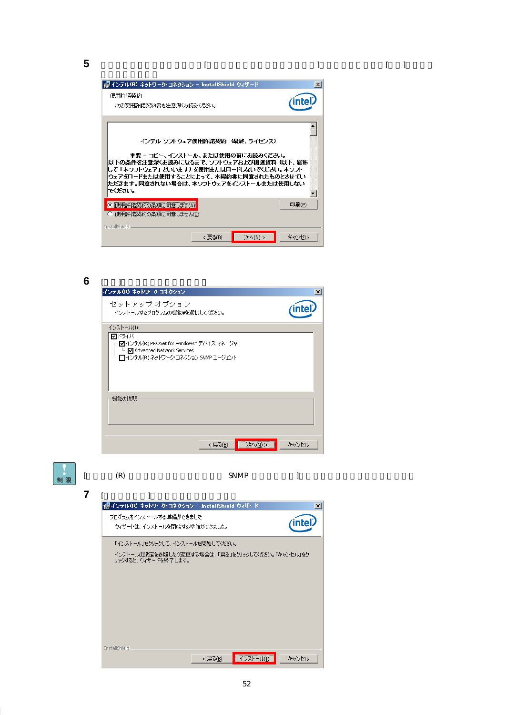| 5 |                                                                                                                                                                                                                                                           |                 |  |  |
|---|-----------------------------------------------------------------------------------------------------------------------------------------------------------------------------------------------------------------------------------------------------------|-----------------|--|--|
|   | 禮インテル(R) ネットワーク・コネクション - InstallShield ウィザード                                                                                                                                                                                                              | $\vert x \vert$ |  |  |
|   | 使用許諾契約<br>)欠の使用許諾契約書を注意深〈お読み〈ださい。                                                                                                                                                                                                                         |                 |  |  |
|   | インテル ソフトウェア使用許諾契約 (最終、ライヤンス)<br>重要 - コビー、インストール、または使用の前にお読みください。<br> 以下の冬件を注意深くお読みになるまで、ソフトウェアおよび関連資料 (以下、総称<br> して 「本ソフトウェア」 といいます) を使用またはロードしないでください。本ソフト<br>ウェアをロードまたは使用することによって、本契約書に同意されたものとさせてい<br>ただきます。同意されない場合は、本ソフトウェアをインストールまたは使用しない<br>でください。 |                 |  |  |
|   | ● 使用許諾契約の条項に同意します(A)<br>○ 使用許諾契約の条項に同意しません(D)                                                                                                                                                                                                             | 印刷(P)           |  |  |
|   | InstallShield<br>次へ(N) ><br><戻る(B)                                                                                                                                                                                                                        | キャンセル           |  |  |

| $\mathbf{L}$<br>-1                    |                                                         |                 |  |
|---------------------------------------|---------------------------------------------------------|-----------------|--|
| インテル(R) ネットワーク コネクション<br>セットアップ オブション |                                                         | $\vert x \vert$ |  |
|                                       | インストールするプログラムの機能¥を選択してください。                             | ntel:           |  |
| インストール(I):                            |                                                         |                 |  |
| 図ドライバ                                 | - <mark>☑</mark> インテル(R) PROSet for Windows* デバイス マネージャ |                 |  |
| Madvanced Network Services            | └- □ インテル(R) ネットワーク・コネクション SNMP エージェント                  |                 |  |
|                                       |                                                         |                 |  |
|                                       |                                                         |                 |  |
| 機能の説明                                 |                                                         |                 |  |
|                                       |                                                         |                 |  |
|                                       |                                                         |                 |  |
|                                       | ■ 次へ(N) ><br><戻る( <u>B</u> )                            | キャンセル           |  |
|                                       |                                                         |                 |  |
| (R)                                   | <b>SNMP</b>                                             | 1               |  |
|                                       |                                                         |                 |  |
| ſ.<br>1                               | 禮インテル(R) ネットワーク・コネクション − InstallShield ウィザード            | $\vert x \vert$ |  |
| プログラムをインストールする準備ができました                |                                                         | intel           |  |
|                                       | ウィザードは、インストールを開始する準備ができました。                             |                 |  |
|                                       | 「インストール」をクリックして、インストールを開始してください。                        |                 |  |
| リックすると、ウィザードを終了します。                   | インストールの設定を参照したり変更する場合は、「戻る」をクリックしてください。「キャンセル」をク        |                 |  |
|                                       |                                                         |                 |  |
|                                       |                                                         |                 |  |
|                                       |                                                         |                 |  |
|                                       |                                                         |                 |  |
|                                       |                                                         |                 |  |
|                                       |                                                         |                 |  |
| InstallShield                         |                                                         |                 |  |

制限

52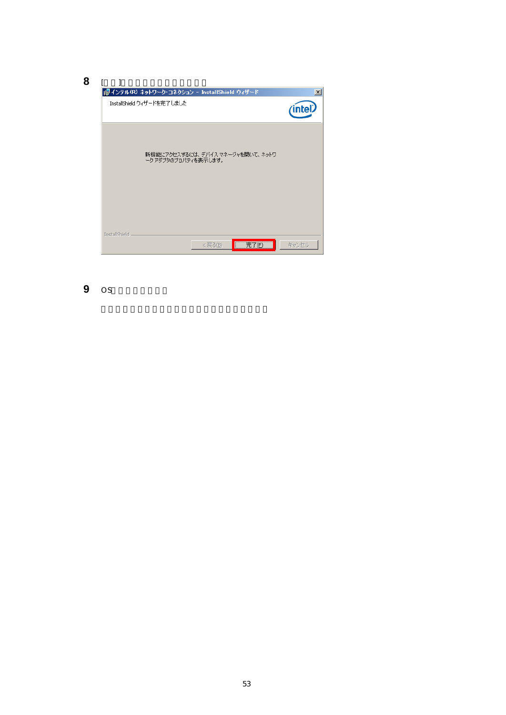

9 os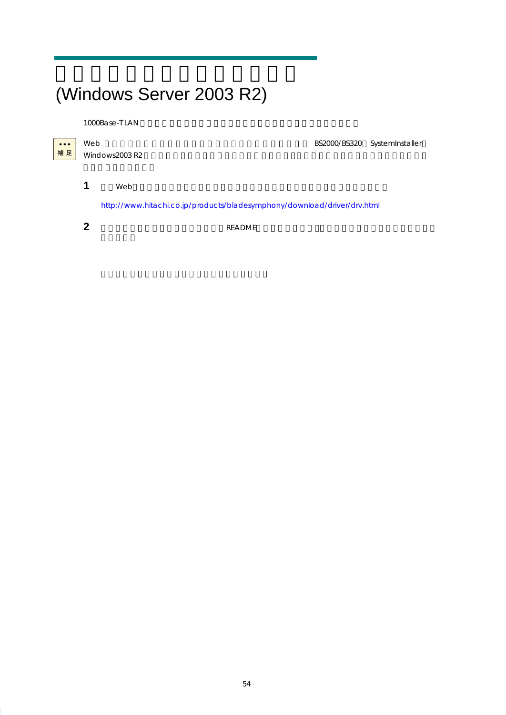# (Windows Server 2003 R2)

1000Base-T LAN



Windows2003 R2

Web 2000/BS320 SystemInstaller

1 Web

http://www.hitachi.co.jp/products/bladesymphony/download/driver/drv.html

2 README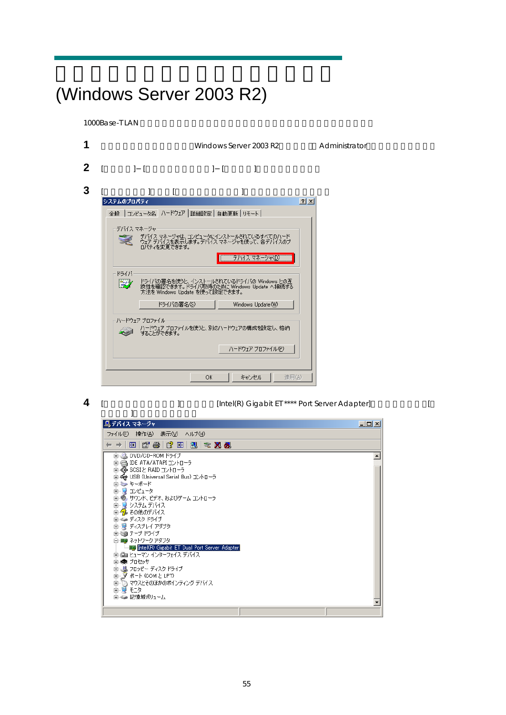# (Windows Server 2003 R2)

1000Base-T LAN



4 [
Bridge Lintel(R) Gigabit ET \*\*\*\* Port Server Adapter]  $\Gamma$ 具テバイスマネージャ  $\Box$ D $\Box$ ファイル(E) 操作(A) 表示(V) ヘルプ(H)

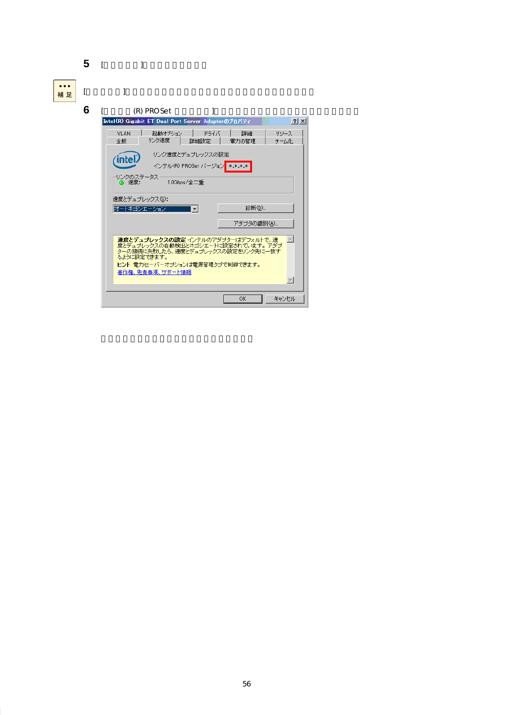|    | 5. |                                                                                                                                                                                                                             |
|----|----|-----------------------------------------------------------------------------------------------------------------------------------------------------------------------------------------------------------------------------|
| 補足 | I  |                                                                                                                                                                                                                             |
|    | 6  | (R) PROSet                                                                                                                                                                                                                  |
|    |    | Intel(R) Gigabit ET Dual Port Server Adapterのプロパティ<br> ? X                                                                                                                                                                  |
|    |    | 記動オプション<br>VLAN<br>ドライバ<br>詳細<br>リソース<br>リンク速度<br>全般<br>詳細設定<br>雷力の管理<br>チーム化                                                                                                                                               |
|    |    | リンク速度とデュブレックスの設定<br>インテル(R) PROSet バージョン *.*.*.*                                                                                                                                                                            |
|    |    | リンクのステータス<br>1.0Gbps/全二重<br>○ 速度:                                                                                                                                                                                           |
|    |    | 速度とデュブレックス(S):<br>診断(D)<br>オートネゴシエーション<br>▾                                                                                                                                                                                 |
|    |    | アダプタの識別(A)                                                                                                                                                                                                                  |
|    |    | <mark>速度とデュブレックスの設定</mark> インテルのアダプターはデフォルトで、速<br>度とデュプレックスの自動検出とネゴシエートに設定されています。 アダプ<br>ターの接続に失敗したら、速度とデュプレックスの設定をリンク先に一致す<br>るように設定できます。<br>ヒント:電力セーバーオブションは電源管理タブで制御できます。<br>著作権、免責事項、サポート情報<br>$\overline{\phantom{a}}$ |
|    |    | キャンセル<br>OK                                                                                                                                                                                                                 |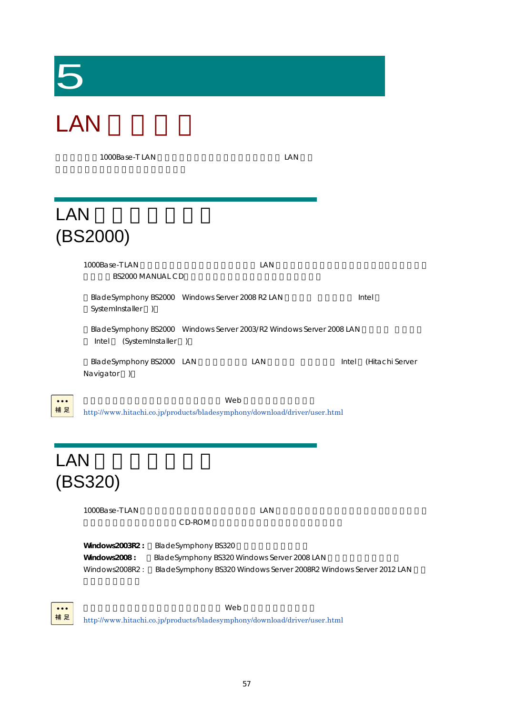5

LAN was a series of the series of the series of the series of the series of the series of the series of the series of the series of the series of the series of the series of the series of the series of the series of the se

| 1000Base-TLAN                           |                                                                                      | <b>LAN</b>               |
|-----------------------------------------|--------------------------------------------------------------------------------------|--------------------------|
|                                         |                                                                                      |                          |
| <b>LAN</b><br>(BS2000)                  |                                                                                      |                          |
| 1000Base-TLAN<br>BS2000 MANUAL CD       | LAN                                                                                  |                          |
| SystemInstaller )                       | BladeSymphony BS2000 Windows Server 2008 R2 LAN                                      | Intel                    |
| (SystemInstaller<br>Intel               | BladeSymphony BS2000 Windows Server 2003/R2 Windows Server 2008 LAN<br>$\rightarrow$ |                          |
| BladeSymphony BS2000 LAN<br>Navigator ) | LAN                                                                                  | (Hitachi Server<br>Intel |

 $V$ eb entreprendiction  $V$ eb entreprendiction  $V$ eb

補足 http://www.hitachi.co.jp/products/bladesymphony/download/driver/user.html





...

 $V$ eb entreprendiction  $V$ eb entreprendiction  $V$ eb

http://www.hitachi.co.jp/products/bladesymphony/download/driver/user.html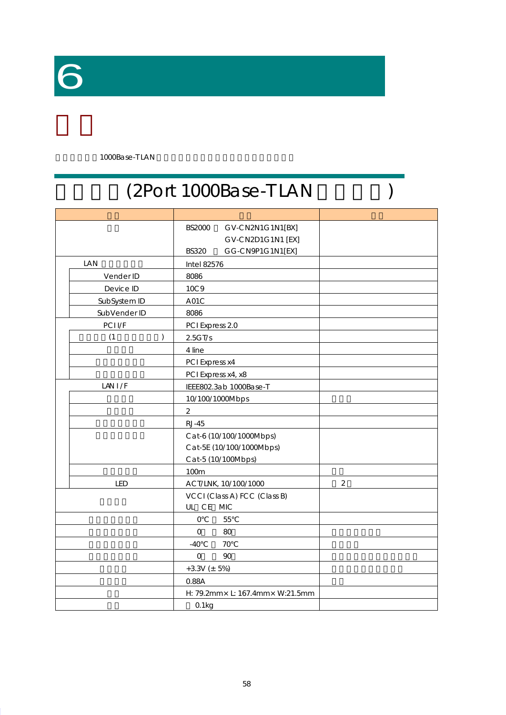

1000Base-T LAN

# (2Port 1000Base-T LAN )

|              | BS2000<br>GV-CN2N1G1N1[BX]       |                |
|--------------|----------------------------------|----------------|
|              | GV-CN2D1G1N1 [EX]                |                |
|              | GG-CN9P1G1N1[EX]<br><b>BS320</b> |                |
| LAN          | <b>Intel 82576</b>               |                |
| Vender ID    | 8086                             |                |
| Device ID    | <b>10C9</b>                      |                |
| SubSystem ID | A01C                             |                |
| SubVender ID | 8086                             |                |
| PCI I/F      | PCI Express 2.0                  |                |
| (1)          | $2.5$ GT/s                       |                |
|              | 4 line                           |                |
|              | PCI Express x4                   |                |
|              | PCI Express x4, x8               |                |
| $LAN$ $IF$   | IEEE802.3ab 1000Base-T           |                |
|              | 10/100/1000Mbps                  |                |
|              | $\overline{2}$                   |                |
|              | <b>RJ-45</b>                     |                |
|              | Cat-6 (10/100/1000Mbps)          |                |
|              | Cat-5E (10/100/1000Mbps)         |                |
|              | Cat-5 (10/100Mbps)               |                |
|              | 100m                             |                |
| LED          | ACT/LNK, 10/100/1000             | $\overline{2}$ |
|              | VCCI (Class A) FCC (Class B)     |                |
|              | UL CE MIC                        |                |
|              | $\mathbf{O}$<br>55               |                |
|              | $\mathbf 0$<br>80                |                |
|              | 70<br>$-40$                      |                |
|              | $\mathbf{0}$<br>90               |                |
|              | $+3.3V$ (± 5%)                   |                |
|              | 0.88A                            |                |
|              | H: 79.2mmx L: 167.4mmx W:21.5mm  |                |
|              | 0.1kg                            |                |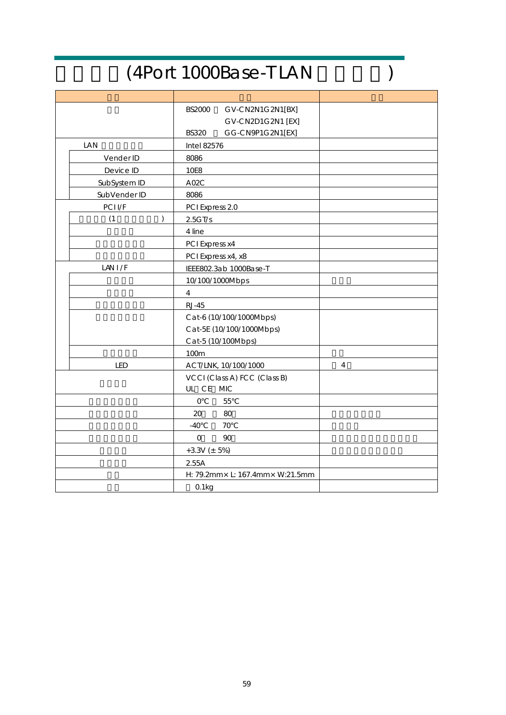|              | (4Port 1000Base-T LAN                                                                      |                |
|--------------|--------------------------------------------------------------------------------------------|----------------|
|              |                                                                                            |                |
|              | GV-CN2N1G2N1[BX]<br><b>BS2000</b><br>GV-CN2D1G2N1 [EX]<br>GG-CN9P1G2N1[EX]<br><b>BS320</b> |                |
| LAN          | <b>Intel 82576</b>                                                                         |                |
| Vender ID    | 8086                                                                                       |                |
| Device ID    | 10E8                                                                                       |                |
| SubSystem ID | A02C                                                                                       |                |
| SubVender ID | 8086                                                                                       |                |
| PCI I/F      | PCI Express 2.0                                                                            |                |
| (1)          | $2.5$ GT/s                                                                                 |                |
|              | 4 line                                                                                     |                |
|              | PCI Express x4                                                                             |                |
|              | PCI Express x4, x8                                                                         |                |
| $LAN$ $IF$   | IEEE802.3ab 1000Base-T                                                                     |                |
|              | 10/100/1000Mbps                                                                            |                |
|              | $\overline{4}$                                                                             |                |
|              | <b>RJ-45</b>                                                                               |                |
|              | Cat-6 (10/100/1000Mbps)                                                                    |                |
|              | Cat-5E (10/100/1000Mbps)                                                                   |                |
|              | Cat-5 (10/100Mbps)                                                                         |                |
|              | 100m                                                                                       |                |
| LED          | ACT/LNK, 10/100/1000                                                                       | $\overline{4}$ |
|              | VCCI (Class A) FCC (Class B)                                                               |                |
|              | UL CE MIC                                                                                  |                |
|              | 0<br>55                                                                                    |                |
|              | 20<br>80                                                                                   |                |
|              | $-40$<br>70                                                                                |                |
|              | 90<br>$\mathbf 0$                                                                          |                |
|              | $+3.3V$ (± 5%)                                                                             |                |
|              | 2.55A                                                                                      |                |
|              | H: 79.2mm× L: 167.4mm× W:21.5mm                                                            |                |
|              | 0.1kg                                                                                      |                |

59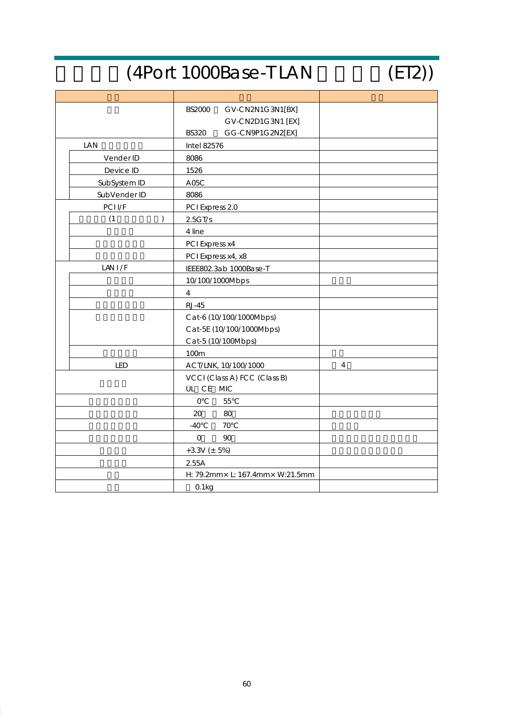| (4Port 1000Base-T LAN | (ET2))                           |   |
|-----------------------|----------------------------------|---|
|                       |                                  |   |
|                       | BS2000<br>GV-CN2N1G3N1[BX]       |   |
|                       | GV-CN2D1G3N1 [EX]                |   |
|                       | GG-CN9P1G2N2[EX]<br><b>BS320</b> |   |
| LAN                   | <b>Intel 82576</b>               |   |
| Vender ID             | 8086                             |   |
| Device ID             | 1526                             |   |
| SubSystem ID          | A05C                             |   |
| SubVender ID          | 8086                             |   |
| PCI I/F               | PCI Express 2.0                  |   |
| (1)<br>$\lambda$      | $2.5$ GT/s                       |   |
|                       | 4 line                           |   |
|                       | PCI Express x4                   |   |
|                       | PCI Express x4, x8               |   |
| LAN I / F             | IEEE802.3ab 1000Base-T           |   |
|                       | 10/100/1000Mbps                  |   |
|                       | $\overline{4}$                   |   |
|                       | <b>RJ-45</b>                     |   |
|                       | Cat-6 (10/100/1000Mbps)          |   |
|                       | Cat-5E (10/100/1000Mbps)         |   |
|                       | Cat-5 (10/100Mbps)               |   |
|                       | 100m                             |   |
| LED                   | ACT/LNK, 10/100/1000             | 4 |
|                       | VCCI (Class A) FCC (Class B)     |   |
|                       | UL CE MIC                        |   |
|                       | $\Omega$<br>55                   |   |
|                       | 20<br>80                         |   |
|                       | 70<br>-40                        |   |
|                       | 90<br>$\mathbf{0}$               |   |
|                       | $+3.3V$ (± 5%)                   |   |
|                       | 2.55A                            |   |
|                       | H: 79.2mmx L: 167.4mmx W:21.5mm  |   |
|                       | 0.1kg                            |   |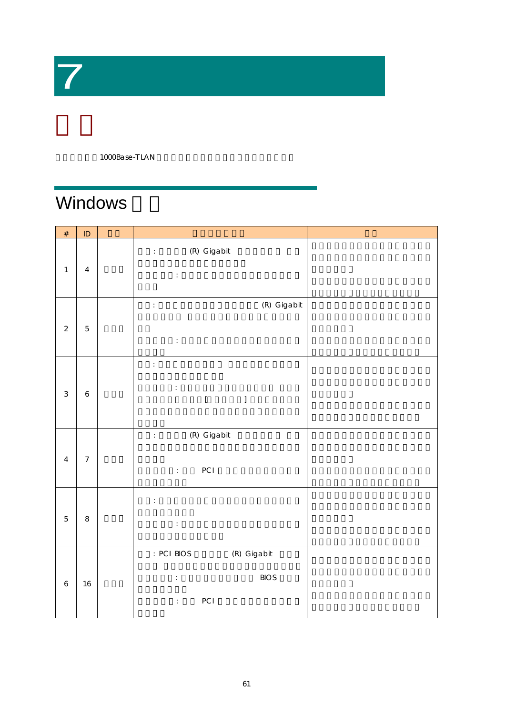7

1000Base-T LAN

# Windows

| $\#$             | ID               |                                                                                |
|------------------|------------------|--------------------------------------------------------------------------------|
| $\mathbf{1}$     | $\overline{4}$   | (R) Gigabit<br>$\mathbb{E}[\mathcal{E}^{\text{max}}]$ .<br>$\Gamma_{\rm{max}}$ |
| $\overline{c}$   | $\mathbf 5$      | (R) Gigabit<br>$\ddot{\cdot}$<br>$\mathbb{C}^{\times}$                         |
| $\sqrt{3}$       | $\boldsymbol{6}$ | $\vdots$<br>$\mathbb{E}[\mathbb{R}^d]$<br>$\lceil$<br>$\,$ $\,$                |
| $\overline{4}$   | $\overline{7}$   | (R) Gigabit<br>$\bar{\Sigma}$<br>$\mathsf{PCI}$<br>$\mathbb{C}^2$              |
| $\overline{5}$   | $\,8\,$          | ÷<br>$\ddot{\ddot{z}}$                                                         |
| $\boldsymbol{6}$ | 16               | : PCI BIOS<br>(R) Gigabit<br><b>BIOS</b><br>Ť,<br>PCI<br>÷                     |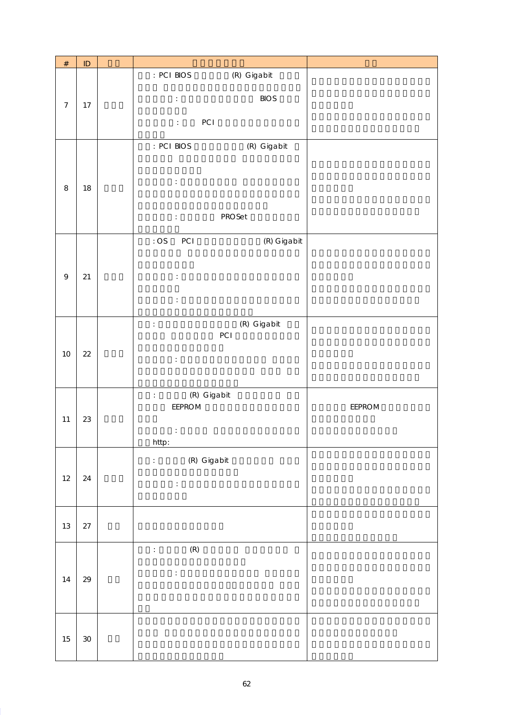| $\#$           | $\sf ID$ |                                                                                    |        |
|----------------|----------|------------------------------------------------------------------------------------|--------|
|                |          | : PCI BIOS<br>(R) Gigabit                                                          |        |
|                |          | <b>BIOS</b><br>t,                                                                  |        |
| $\overline{7}$ | 17       |                                                                                    |        |
|                |          | PCI<br>$\mathbb{S}^{n+1}$                                                          |        |
|                |          | : PCI BIOS<br>(R) Gigabit                                                          |        |
|                |          |                                                                                    |        |
| $\, 8$         | 18       | $\ddot{\ddot{\psi}}$                                                               |        |
|                |          |                                                                                    |        |
|                |          | PROSet                                                                             |        |
|                |          | :OS<br>PCI<br>(R) Gigabit                                                          |        |
|                |          |                                                                                    |        |
| 9              | 21       | $\ddot{\phantom{a}}$                                                               |        |
|                |          |                                                                                    |        |
|                |          | $\pm$                                                                              |        |
|                |          | (R) Gigabit<br>ł.                                                                  |        |
|                |          | PCI                                                                                |        |
| 10             | $22\,$   | $\mathbb{R}^+$                                                                     |        |
|                |          |                                                                                    |        |
|                |          | $\mathcal{A}^{\text{max}}$ and $\mathcal{A}^{\text{max}}$<br>(R) Gigabit<br>EEPROM | EEPROM |
| 11             | 23       |                                                                                    |        |
|                |          | $\sim 10$                                                                          |        |
|                |          | http:<br>(R) Gigabit<br>$\mathbb{C}^{n\times n}$                                   |        |
| 12             | 24       |                                                                                    |        |
|                |          | ÷,                                                                                 |        |
|                |          |                                                                                    |        |
| 13             | $27\,$   |                                                                                    |        |
|                |          | $(\mathsf{R})$<br>$\mathbb{R}^{\mathbb{Z}}$                                        |        |
|                |          |                                                                                    |        |
| 14             | 29       | $\ddot{\phantom{a}}$                                                               |        |
|                |          |                                                                                    |        |
|                |          |                                                                                    |        |
| 15             | $30\,$   |                                                                                    |        |
|                |          |                                                                                    |        |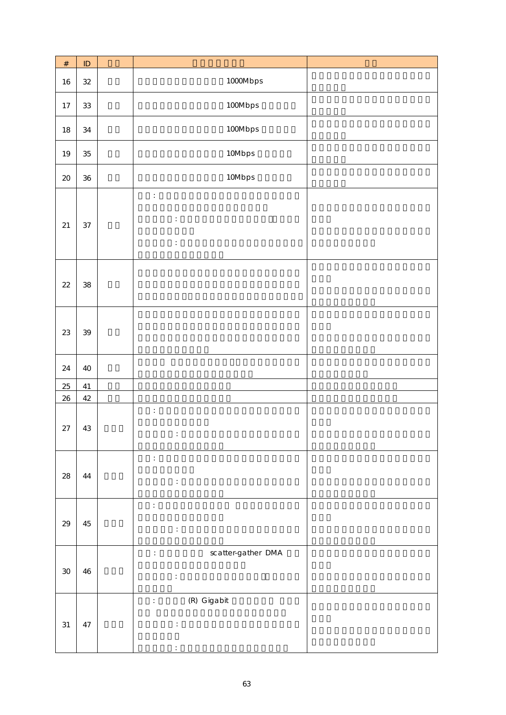| $\#$   | ID     |                                                                                                    |  |
|--------|--------|----------------------------------------------------------------------------------------------------|--|
| $16\,$ | 32     | 1000Mbps                                                                                           |  |
| $17$   | 33     | 100Mbps                                                                                            |  |
| $18\,$ | 34     | 100Mbps                                                                                            |  |
| $19$   | 35     | 10Mbps                                                                                             |  |
| $20\,$ | 36     | 10Mbps                                                                                             |  |
| 21     | 37     | ÷.<br>$\ddot{\phantom{a}}$<br>$\pm$                                                                |  |
| $22\,$ | 38     |                                                                                                    |  |
| 23     | 39     |                                                                                                    |  |
| 24     | 40     |                                                                                                    |  |
| 25     | 41     |                                                                                                    |  |
| 26     | 42     |                                                                                                    |  |
| $27\,$ | 43     | $\ddot{\phantom{a}}$<br>÷                                                                          |  |
| 28     | 44     | $\pm$<br>÷                                                                                         |  |
| 29     | $45\,$ | $\pm$<br>$\pm$                                                                                     |  |
| $30\,$ | 46     | scatter-gather DMA<br>$\langle \pm \rangle$<br>$\mathbb{C}^{\mathbb{Z}}$                           |  |
| 31     | $47\,$ | (R) Gigabit<br>$\mathcal{A}^{\mathrm{max}}$<br>$\ddot{\ddot{\varepsilon}}$<br>$\ddot{\ddot{\psi}}$ |  |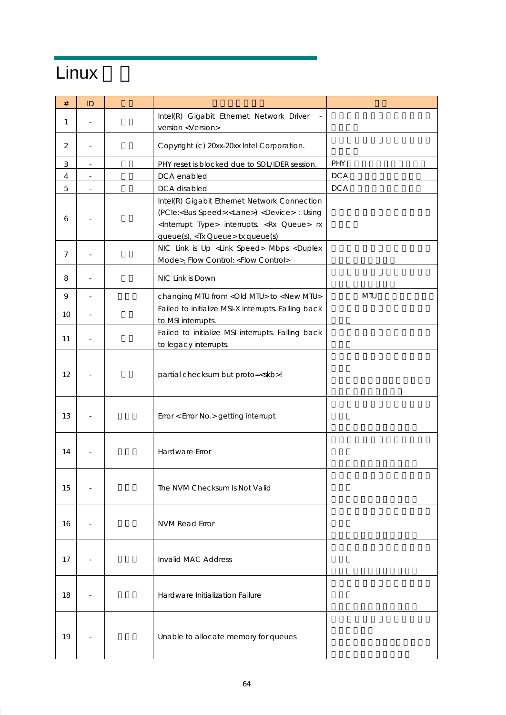# Linux

| #              | ID                       |                                                                                                                                                                                                                                         |            |
|----------------|--------------------------|-----------------------------------------------------------------------------------------------------------------------------------------------------------------------------------------------------------------------------------------|------------|
| 1              | ÷,                       | Intel(R) Gigabit Ethernet Network Driver<br>version <version></version>                                                                                                                                                                 |            |
| 2              | ÷                        | Copyright (c) 20xx-20xx Intel Corporation.                                                                                                                                                                                              |            |
| 3              | $\overline{\phantom{a}}$ | PHY reset is blocked due to SOL/IDER session.                                                                                                                                                                                           | PHY        |
| 4              | ÷.                       | DCA enabled                                                                                                                                                                                                                             | <b>DCA</b> |
| 5              | ä,                       | DCA disabled                                                                                                                                                                                                                            | <b>DCA</b> |
| 6              |                          | Intel(R) Gigabit Ethernet Network Connection<br>(PCle: <bus speed="">:<lane>) <device> : Using<br/><interrupt type=""> interrupts. <rx queue=""> rx<br/>queue(s), <tx queue=""> tx queue(s)</tx></rx></interrupt></device></lane></bus> |            |
| $\overline{7}$ | ×,                       | NIC Link is Up <link speed=""/> Mbps <duplex<br>Mode&gt;, Flow Control: <flow control=""></flow></duplex<br>                                                                                                                            |            |
| 8              |                          | NIC Link is Down                                                                                                                                                                                                                        |            |
| 9              | ä,                       | changing MTU from <old mtu=""> to <new mtu=""></new></old>                                                                                                                                                                              | <b>MTU</b> |
| 10             | J.                       | Failed to initialize MSI-X interrupts. Falling back<br>to MSI interrupts.                                                                                                                                                               |            |
| 11             | ÷,                       | Failed to initialize MSI interrupts. Falling back<br>to legacy interrupts.                                                                                                                                                              |            |
| 12             |                          | partial checksum but proto= <skb>!</skb>                                                                                                                                                                                                |            |
| 13             |                          | Error < Error No.> getting interrupt                                                                                                                                                                                                    |            |
| 14             |                          | Hardware Error                                                                                                                                                                                                                          |            |
| 15             |                          | The NVM Checksum Is Not Valid                                                                                                                                                                                                           |            |
| 16             |                          | <b>NVM Read Error</b>                                                                                                                                                                                                                   |            |
| 17             |                          | <b>Invalid MAC Address</b>                                                                                                                                                                                                              |            |
| 18             |                          | Hardware Initialization Failure                                                                                                                                                                                                         |            |
| 19             |                          | Unable to allocate memory for queues                                                                                                                                                                                                    |            |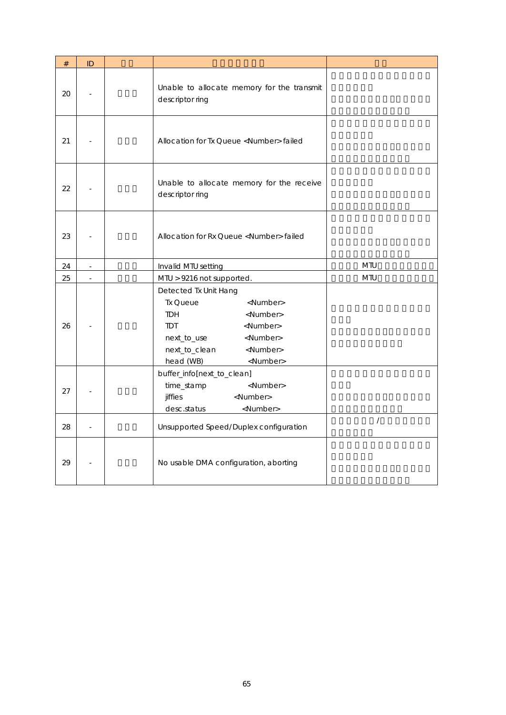| $\#$ | ID |                                                                                                                                                                                                                                                |            |
|------|----|------------------------------------------------------------------------------------------------------------------------------------------------------------------------------------------------------------------------------------------------|------------|
| 20   |    | Unable to allocate memory for the transmit<br>descriptor ring                                                                                                                                                                                  |            |
| 21   |    | Allocation for Tx Queue <number> failed</number>                                                                                                                                                                                               |            |
| 22   |    | Unable to allocate memory for the receive<br>descriptor ring                                                                                                                                                                                   |            |
| 23   |    | Allocation for Rx Queue <number> failed</number>                                                                                                                                                                                               |            |
| 24   |    | Invalid MTU setting                                                                                                                                                                                                                            | <b>MTU</b> |
| 25   | L. | MTU > 9216 not supported.                                                                                                                                                                                                                      | <b>MTU</b> |
| 26   |    | Detected Tx Unit Hang<br>Tx Queue<br><number><br/><b>TDH</b><br/><number><br/><b>TDT</b><br/><number><br/>next_to_use<br/><number><br/>next_to_clean <number><br/>head (WB)<br/><number></number></number></number></number></number></number> |            |
| 27   |    | buffer_info[next_to_clean]<br><number><br/>time_stamp<br/><number><br/>jiffies<br/>desc.status<br/><number></number></number></number>                                                                                                         |            |
| 28   |    | Unsupported Speed/Duplex configuration                                                                                                                                                                                                         | $\sqrt{2}$ |
| 29   |    | No usable DMA configuration, aborting                                                                                                                                                                                                          |            |